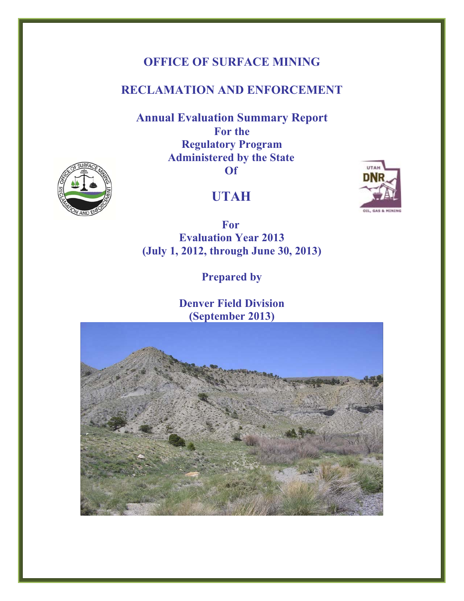# **OFFICE OF SURFACE MINING**

# **RECLAMATION AND ENFORCEMENT**

**Annual Evaluation Summary Report For the Regulatory Program Administered by the State Of** 





 **For Evaluation Year 2013 (July 1, 2012, through June 30, 2013)** 

**Prepared by** 

**Denver Field Division (September 2013)**



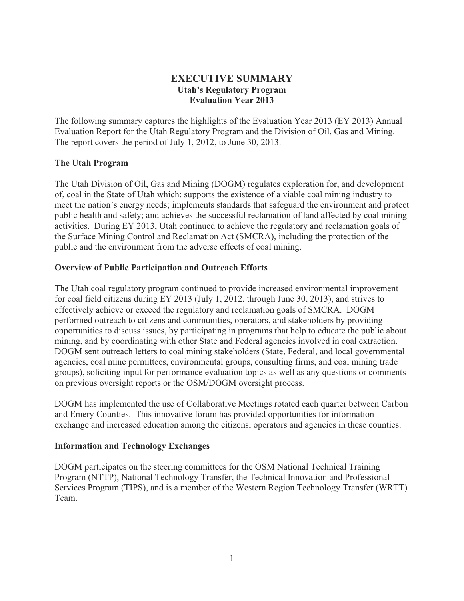## **EXECUTIVE SUMMARY Utah's Regulatory Program Evaluation Year 2013**

The following summary captures the highlights of the Evaluation Year 2013 (EY 2013) Annual Evaluation Report for the Utah Regulatory Program and the Division of Oil, Gas and Mining. The report covers the period of July 1, 2012, to June 30, 2013.

#### **The Utah Program**

The Utah Division of Oil, Gas and Mining (DOGM) regulates exploration for, and development of, coal in the State of Utah which: supports the existence of a viable coal mining industry to meet the nation's energy needs; implements standards that safeguard the environment and protect public health and safety; and achieves the successful reclamation of land affected by coal mining activities. During EY 2013, Utah continued to achieve the regulatory and reclamation goals of the Surface Mining Control and Reclamation Act (SMCRA), including the protection of the public and the environment from the adverse effects of coal mining.

#### **Overview of Public Participation and Outreach Efforts**

The Utah coal regulatory program continued to provide increased environmental improvement for coal field citizens during EY 2013 (July 1, 2012, through June 30, 2013), and strives to effectively achieve or exceed the regulatory and reclamation goals of SMCRA. DOGM performed outreach to citizens and communities, operators, and stakeholders by providing opportunities to discuss issues, by participating in programs that help to educate the public about mining, and by coordinating with other State and Federal agencies involved in coal extraction. DOGM sent outreach letters to coal mining stakeholders (State, Federal, and local governmental agencies, coal mine permittees, environmental groups, consulting firms, and coal mining trade groups), soliciting input for performance evaluation topics as well as any questions or comments on previous oversight reports or the OSM/DOGM oversight process.

DOGM has implemented the use of Collaborative Meetings rotated each quarter between Carbon and Emery Counties. This innovative forum has provided opportunities for information exchange and increased education among the citizens, operators and agencies in these counties.

#### **Information and Technology Exchanges**

DOGM participates on the steering committees for the OSM National Technical Training Program (NTTP), National Technology Transfer, the Technical Innovation and Professional Services Program (TIPS), and is a member of the Western Region Technology Transfer (WRTT) Team.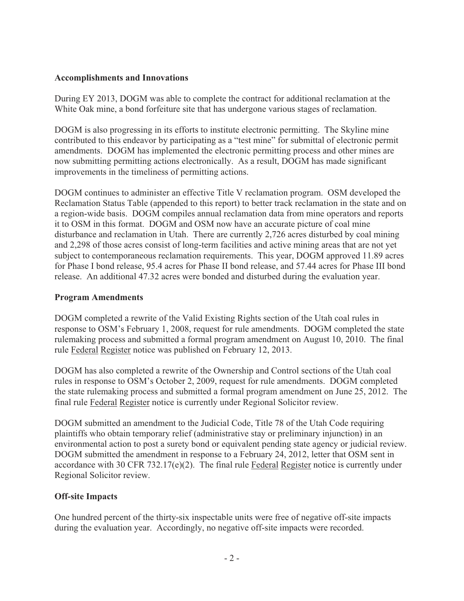#### **Accomplishments and Innovations**

During EY 2013, DOGM was able to complete the contract for additional reclamation at the White Oak mine, a bond forfeiture site that has undergone various stages of reclamation.

DOGM is also progressing in its efforts to institute electronic permitting. The Skyline mine contributed to this endeavor by participating as a "test mine" for submittal of electronic permit amendments. DOGM has implemented the electronic permitting process and other mines are now submitting permitting actions electronically. As a result, DOGM has made significant improvements in the timeliness of permitting actions.

DOGM continues to administer an effective Title V reclamation program. OSM developed the Reclamation Status Table (appended to this report) to better track reclamation in the state and on a region-wide basis. DOGM compiles annual reclamation data from mine operators and reports it to OSM in this format. DOGM and OSM now have an accurate picture of coal mine disturbance and reclamation in Utah. There are currently 2,726 acres disturbed by coal mining and 2,298 of those acres consist of long-term facilities and active mining areas that are not yet subject to contemporaneous reclamation requirements. This year, DOGM approved 11.89 acres for Phase I bond release, 95.4 acres for Phase II bond release, and 57.44 acres for Phase III bond release. An additional 47.32 acres were bonded and disturbed during the evaluation year.

#### **Program Amendments**

DOGM completed a rewrite of the Valid Existing Rights section of the Utah coal rules in response to OSM's February 1, 2008, request for rule amendments. DOGM completed the state rulemaking process and submitted a formal program amendment on August 10, 2010. The final rule Federal Register notice was published on February 12, 2013.

DOGM has also completed a rewrite of the Ownership and Control sections of the Utah coal rules in response to OSM's October 2, 2009, request for rule amendments. DOGM completed the state rulemaking process and submitted a formal program amendment on June 25, 2012. The final rule Federal Register notice is currently under Regional Solicitor review.

DOGM submitted an amendment to the Judicial Code, Title 78 of the Utah Code requiring plaintiffs who obtain temporary relief (administrative stay or preliminary injunction) in an environmental action to post a surety bond or equivalent pending state agency or judicial review. DOGM submitted the amendment in response to a February 24, 2012, letter that OSM sent in accordance with 30 CFR 732.17(e)(2). The final rule Federal Register notice is currently under Regional Solicitor review.

#### **Off-site Impacts**

One hundred percent of the thirty-six inspectable units were free of negative off-site impacts during the evaluation year. Accordingly, no negative off-site impacts were recorded.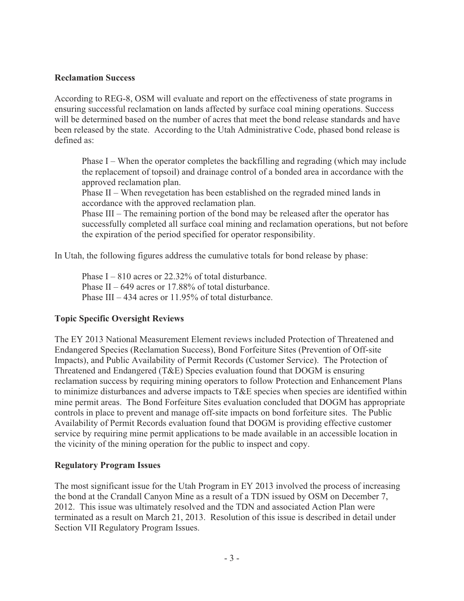#### **Reclamation Success**

According to REG-8, OSM will evaluate and report on the effectiveness of state programs in ensuring successful reclamation on lands affected by surface coal mining operations. Success will be determined based on the number of acres that meet the bond release standards and have been released by the state. According to the Utah Administrative Code, phased bond release is defined as:

Phase I – When the operator completes the backfilling and regrading (which may include the replacement of topsoil) and drainage control of a bonded area in accordance with the approved reclamation plan.

Phase II – When revegetation has been established on the regraded mined lands in accordance with the approved reclamation plan.

Phase III – The remaining portion of the bond may be released after the operator has successfully completed all surface coal mining and reclamation operations, but not before the expiration of the period specified for operator responsibility.

In Utah, the following figures address the cumulative totals for bond release by phase:

Phase  $I - 810$  acres or 22.32% of total disturbance. Phase II –  $649$  acres or 17.88% of total disturbance. Phase III – 434 acres or 11.95% of total disturbance.

#### **Topic Specific Oversight Reviews**

The EY 2013 National Measurement Element reviews included Protection of Threatened and Endangered Species (Reclamation Success), Bond Forfeiture Sites (Prevention of Off-site Impacts), and Public Availability of Permit Records (Customer Service). The Protection of Threatened and Endangered (T&E) Species evaluation found that DOGM is ensuring reclamation success by requiring mining operators to follow Protection and Enhancement Plans to minimize disturbances and adverse impacts to T&E species when species are identified within mine permit areas. The Bond Forfeiture Sites evaluation concluded that DOGM has appropriate controls in place to prevent and manage off-site impacts on bond forfeiture sites. The Public Availability of Permit Records evaluation found that DOGM is providing effective customer service by requiring mine permit applications to be made available in an accessible location in the vicinity of the mining operation for the public to inspect and copy.

#### **Regulatory Program Issues**

The most significant issue for the Utah Program in EY 2013 involved the process of increasing the bond at the Crandall Canyon Mine as a result of a TDN issued by OSM on December 7, 2012. This issue was ultimately resolved and the TDN and associated Action Plan were terminated as a result on March 21, 2013. Resolution of this issue is described in detail under Section VII Regulatory Program Issues.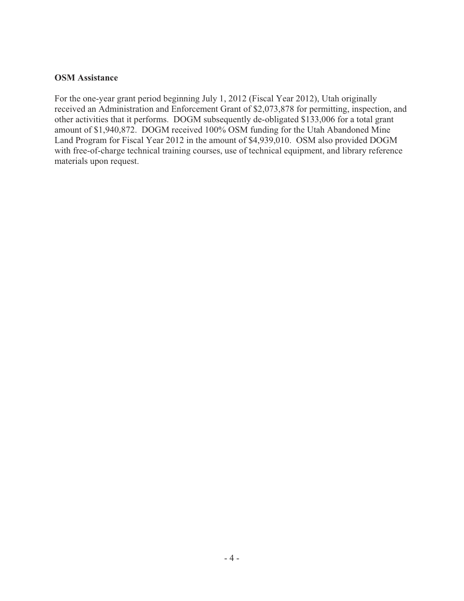#### **OSM Assistance**

For the one-year grant period beginning July 1, 2012 (Fiscal Year 2012), Utah originally received an Administration and Enforcement Grant of \$2,073,878 for permitting, inspection, and other activities that it performs. DOGM subsequently de-obligated \$133,006 for a total grant amount of \$1,940,872. DOGM received 100% OSM funding for the Utah Abandoned Mine Land Program for Fiscal Year 2012 in the amount of \$4,939,010. OSM also provided DOGM with free-of-charge technical training courses, use of technical equipment, and library reference materials upon request.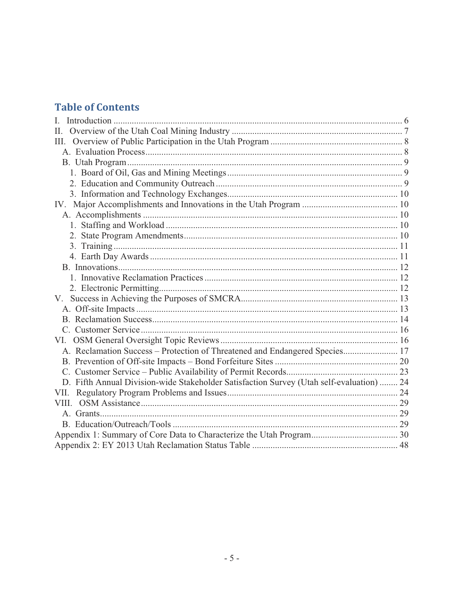# **Table of Contents**

| $\mathbf{L}$                                                                             |  |
|------------------------------------------------------------------------------------------|--|
| Π.                                                                                       |  |
| Ш.                                                                                       |  |
|                                                                                          |  |
|                                                                                          |  |
|                                                                                          |  |
|                                                                                          |  |
|                                                                                          |  |
|                                                                                          |  |
|                                                                                          |  |
|                                                                                          |  |
|                                                                                          |  |
|                                                                                          |  |
|                                                                                          |  |
|                                                                                          |  |
|                                                                                          |  |
|                                                                                          |  |
| $V_{\cdot}$                                                                              |  |
|                                                                                          |  |
|                                                                                          |  |
|                                                                                          |  |
|                                                                                          |  |
| A. Reclamation Success - Protection of Threatened and Endangered Species 17              |  |
|                                                                                          |  |
|                                                                                          |  |
| D. Fifth Annual Division-wide Stakeholder Satisfaction Survey (Utah self-evaluation)  24 |  |
|                                                                                          |  |
|                                                                                          |  |
|                                                                                          |  |
|                                                                                          |  |
|                                                                                          |  |
|                                                                                          |  |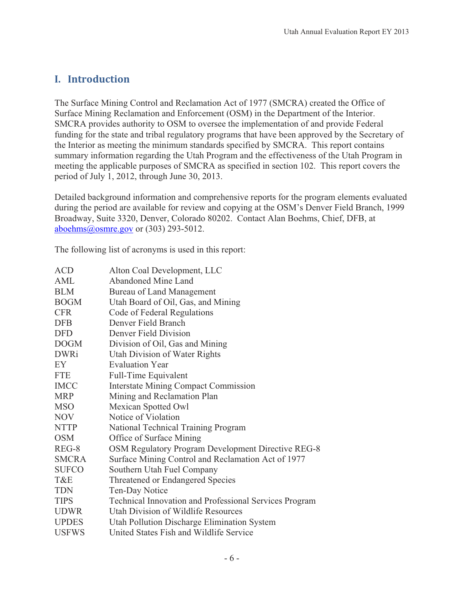# **I.---Introduction**

The Surface Mining Control and Reclamation Act of 1977 (SMCRA) created the Office of Surface Mining Reclamation and Enforcement (OSM) in the Department of the Interior. SMCRA provides authority to OSM to oversee the implementation of and provide Federal funding for the state and tribal regulatory programs that have been approved by the Secretary of the Interior as meeting the minimum standards specified by SMCRA. This report contains summary information regarding the Utah Program and the effectiveness of the Utah Program in meeting the applicable purposes of SMCRA as specified in section 102. This report covers the period of July 1, 2012, through June 30, 2013.

Detailed background information and comprehensive reports for the program elements evaluated during the period are available for review and copying at the OSM's Denver Field Branch, 1999 Broadway, Suite 3320, Denver, Colorado 80202. Contact Alan Boehms, Chief, DFB, at aboehms@osmre.gov or  $(303)$  293-5012.

The following list of acronyms is used in this report:

| <b>ACD</b>   | Alton Coal Development, LLC                            |
|--------------|--------------------------------------------------------|
| AML          | <b>Abandoned Mine Land</b>                             |
| <b>BLM</b>   | <b>Bureau of Land Management</b>                       |
| <b>BOGM</b>  | Utah Board of Oil, Gas, and Mining                     |
| <b>CFR</b>   | Code of Federal Regulations                            |
| <b>DFB</b>   | Denver Field Branch                                    |
| <b>DFD</b>   | Denver Field Division                                  |
| <b>DOGM</b>  | Division of Oil, Gas and Mining                        |
| <b>DWRi</b>  | Utah Division of Water Rights                          |
| EY           | <b>Evaluation Year</b>                                 |
| <b>FTE</b>   | Full-Time Equivalent                                   |
| <b>IMCC</b>  | <b>Interstate Mining Compact Commission</b>            |
| <b>MRP</b>   | Mining and Reclamation Plan                            |
| <b>MSO</b>   | Mexican Spotted Owl                                    |
| NOV          | Notice of Violation                                    |
| <b>NTTP</b>  | National Technical Training Program                    |
| <b>OSM</b>   | Office of Surface Mining                               |
| REG-8        | OSM Regulatory Program Development Directive REG-8     |
| <b>SMCRA</b> | Surface Mining Control and Reclamation Act of 1977     |
| <b>SUFCO</b> | Southern Utah Fuel Company                             |
| T&E          | Threatened or Endangered Species                       |
| <b>TDN</b>   | Ten-Day Notice                                         |
| <b>TIPS</b>  | Technical Innovation and Professional Services Program |
| <b>UDWR</b>  | Utah Division of Wildlife Resources                    |
| <b>UPDES</b> | Utah Pollution Discharge Elimination System            |
| <b>USFWS</b> | United States Fish and Wildlife Service                |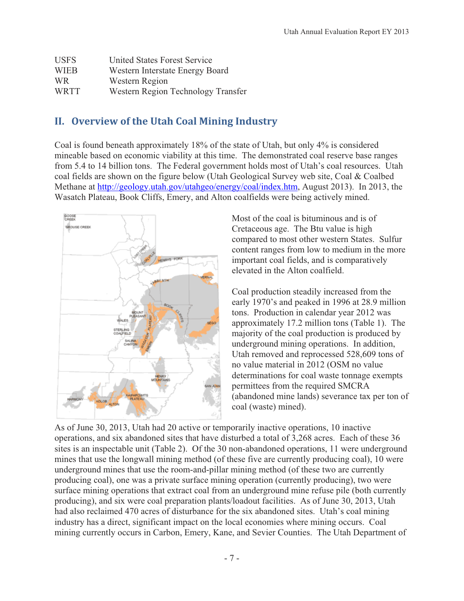| <b>USFS</b> | United States Forest Service       |
|-------------|------------------------------------|
| <b>WIEB</b> | Western Interstate Energy Board    |
| WR.         | Western Region                     |
| WRTT        | Western Region Technology Transfer |

# **II.** Overview of the Utah Coal Mining Industry

Coal is found beneath approximately 18% of the state of Utah, but only 4% is considered mineable based on economic viability at this time. The demonstrated coal reserve base ranges from 5.4 to 14 billion tons. The Federal government holds most of Utah's coal resources. Utah coal fields are shown on the figure below (Utah Geological Survey web site, Coal & Coalbed Methane at http://geology.utah.gov/utahgeo/energy/coal/index.htm, August 2013). In 2013, the Wasatch Plateau, Book Cliffs, Emery, and Alton coalfields were being actively mined.



Most of the coal is bituminous and is of Cretaceous age. The Btu value is high compared to most other western States. Sulfur content ranges from low to medium in the more important coal fields, and is comparatively elevated in the Alton coalfield.

Coal production steadily increased from the early 1970's and peaked in 1996 at 28.9 million tons. Production in calendar year 2012 was approximately 17.2 million tons (Table 1). The majority of the coal production is produced by underground mining operations. In addition, Utah removed and reprocessed 528,609 tons of no value material in 2012 (OSM no value determinations for coal waste tonnage exempts permittees from the required SMCRA (abandoned mine lands) severance tax per ton of coal (waste) mined).

As of June 30, 2013, Utah had 20 active or temporarily inactive operations, 10 inactive operations, and six abandoned sites that have disturbed a total of 3,268 acres. Each of these 36 sites is an inspectable unit (Table 2). Of the 30 non-abandoned operations, 11 were underground mines that use the longwall mining method (of these five are currently producing coal), 10 were underground mines that use the room-and-pillar mining method (of these two are currently producing coal), one was a private surface mining operation (currently producing), two were surface mining operations that extract coal from an underground mine refuse pile (both currently producing), and six were coal preparation plants/loadout facilities. As of June 30, 2013, Utah had also reclaimed 470 acres of disturbance for the six abandoned sites. Utah's coal mining industry has a direct, significant impact on the local economies where mining occurs. Coal mining currently occurs in Carbon, Emery, Kane, and Sevier Counties. The Utah Department of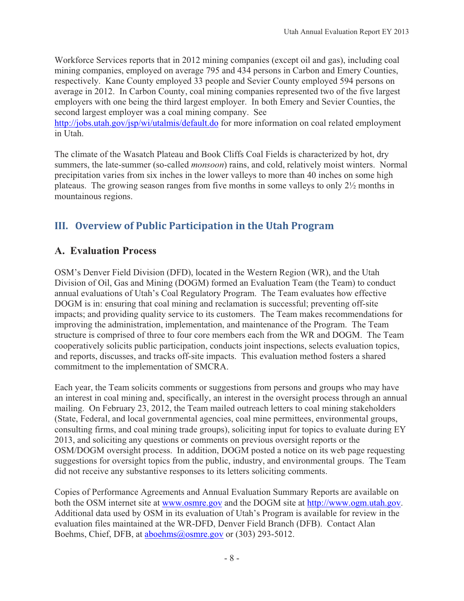Workforce Services reports that in 2012 mining companies (except oil and gas), including coal mining companies, employed on average 795 and 434 persons in Carbon and Emery Counties, respectively. Kane County employed 33 people and Sevier County employed 594 persons on average in 2012. In Carbon County, coal mining companies represented two of the five largest employers with one being the third largest employer. In both Emery and Sevier Counties, the second largest employer was a coal mining company. See

http://jobs.utah.gov/jsp/wi/utalmis/default.do for more information on coal related employment in Utah.

The climate of the Wasatch Plateau and Book Cliffs Coal Fields is characterized by hot, dry summers, the late-summer (so-called *monsoon*) rains, and cold, relatively moist winters. Normal precipitation varies from six inches in the lower valleys to more than 40 inches on some high plateaus. The growing season ranges from five months in some valleys to only 2½ months in mountainous regions.

# **III. Overview of Public Participation in the Utah Program**

# **A. Evaluation Process**

OSM's Denver Field Division (DFD), located in the Western Region (WR), and the Utah Division of Oil, Gas and Mining (DOGM) formed an Evaluation Team (the Team) to conduct annual evaluations of Utah's Coal Regulatory Program. The Team evaluates how effective DOGM is in: ensuring that coal mining and reclamation is successful; preventing off-site impacts; and providing quality service to its customers. The Team makes recommendations for improving the administration, implementation, and maintenance of the Program. The Team structure is comprised of three to four core members each from the WR and DOGM. The Team cooperatively solicits public participation, conducts joint inspections, selects evaluation topics, and reports, discusses, and tracks off-site impacts. This evaluation method fosters a shared commitment to the implementation of SMCRA.

Each year, the Team solicits comments or suggestions from persons and groups who may have an interest in coal mining and, specifically, an interest in the oversight process through an annual mailing. On February 23, 2012, the Team mailed outreach letters to coal mining stakeholders (State, Federal, and local governmental agencies, coal mine permittees, environmental groups, consulting firms, and coal mining trade groups), soliciting input for topics to evaluate during EY 2013, and soliciting any questions or comments on previous oversight reports or the OSM/DOGM oversight process. In addition, DOGM posted a notice on its web page requesting suggestions for oversight topics from the public, industry, and environmental groups. The Team did not receive any substantive responses to its letters soliciting comments.

Copies of Performance Agreements and Annual Evaluation Summary Reports are available on both the OSM internet site at www.osmre.gov and the DOGM site at http://www.ogm.utah.gov. Additional data used by OSM in its evaluation of Utah's Program is available for review in the evaluation files maintained at the WR-DFD, Denver Field Branch (DFB). Contact Alan Boehms, Chief, DFB, at aboehms@osmre.gov or (303) 293-5012.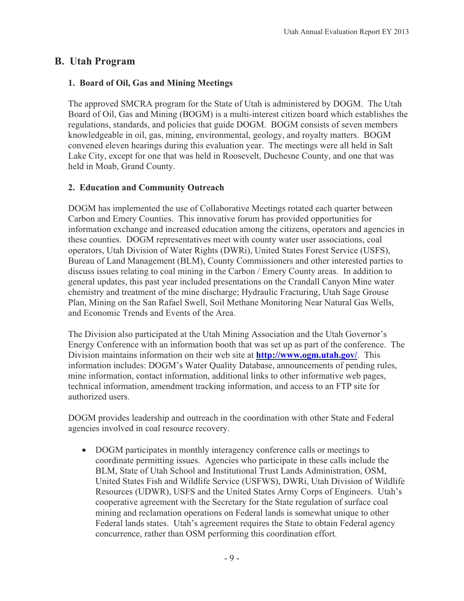# **B. Utah Program**

## **1. Board of Oil, Gas and Mining Meetings**

The approved SMCRA program for the State of Utah is administered by DOGM. The Utah Board of Oil, Gas and Mining (BOGM) is a multi-interest citizen board which establishes the regulations, standards, and policies that guide DOGM. BOGM consists of seven members knowledgeable in oil, gas, mining, environmental, geology, and royalty matters. BOGM convened eleven hearings during this evaluation year. The meetings were all held in Salt Lake City, except for one that was held in Roosevelt, Duchesne County, and one that was held in Moab, Grand County.

## **2. Education and Community Outreach**

DOGM has implemented the use of Collaborative Meetings rotated each quarter between Carbon and Emery Counties. This innovative forum has provided opportunities for information exchange and increased education among the citizens, operators and agencies in these counties. DOGM representatives meet with county water user associations, coal operators, Utah Division of Water Rights (DWRi), United States Forest Service (USFS), Bureau of Land Management (BLM), County Commissioners and other interested parties to discuss issues relating to coal mining in the Carbon / Emery County areas. In addition to general updates, this past year included presentations on the Crandall Canyon Mine water chemistry and treatment of the mine discharge; Hydraulic Fracturing, Utah Sage Grouse Plan, Mining on the San Rafael Swell, Soil Methane Monitoring Near Natural Gas Wells, and Economic Trends and Events of the Area.

The Division also participated at the Utah Mining Association and the Utah Governor's Energy Conference with an information booth that was set up as part of the conference. The Division maintains information on their web site at **http://www.ogm.utah.gov/**. This information includes: DOGM's Water Quality Database, announcements of pending rules, mine information, contact information, additional links to other informative web pages, technical information, amendment tracking information, and access to an FTP site for authorized users.

DOGM provides leadership and outreach in the coordination with other State and Federal agencies involved in coal resource recovery.

- DOGM participates in monthly interagency conference calls or meetings to coordinate permitting issues. Agencies who participate in these calls include the BLM, State of Utah School and Institutional Trust Lands Administration, OSM, United States Fish and Wildlife Service (USFWS), DWRi, Utah Division of Wildlife Resources (UDWR), USFS and the United States Army Corps of Engineers. Utah's cooperative agreement with the Secretary for the State regulation of surface coal mining and reclamation operations on Federal lands is somewhat unique to other Federal lands states. Utah's agreement requires the State to obtain Federal agency concurrence, rather than OSM performing this coordination effort.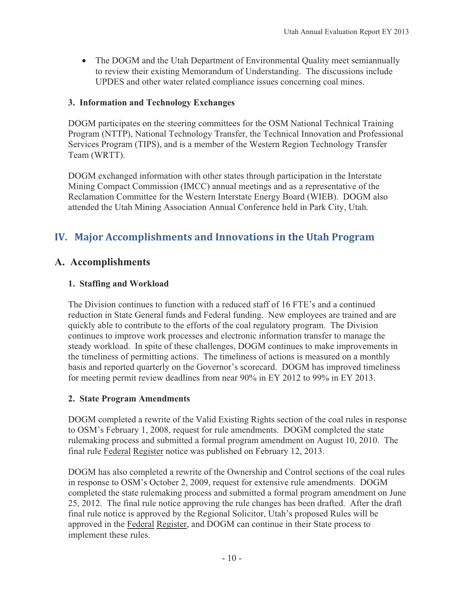• The DOGM and the Utah Department of Environmental Quality meet semiannually to review their existing Memorandum of Understanding. The discussions include UPDES and other water related compliance issues concerning coal mines.

## **3. Information and Technology Exchanges**

DOGM participates on the steering committees for the OSM National Technical Training Program (NTTP), National Technology Transfer, the Technical Innovation and Professional Services Program (TIPS), and is a member of the Western Region Technology Transfer Team (WRTT).

DOGM exchanged information with other states through participation in the Interstate Mining Compact Commission (IMCC) annual meetings and as a representative of the Reclamation Committee for the Western Interstate Energy Board (WIEB). DOGM also attended the Utah Mining Association Annual Conference held in Park City, Utah.

# **IV.** Major Accomplishments and Innovations in the Utah Program

# **A. Accomplishments**

## **1. Staffing and Workload**

The Division continues to function with a reduced staff of 16 FTE's and a continued reduction in State General funds and Federal funding. New employees are trained and are quickly able to contribute to the efforts of the coal regulatory program. The Division continues to improve work processes and electronic information transfer to manage the steady workload. In spite of these challenges, DOGM continues to make improvements in the timeliness of permitting actions. The timeliness of actions is measured on a monthly basis and reported quarterly on the Governor's scorecard. DOGM has improved timeliness for meeting permit review deadlines from near 90% in EY 2012 to 99% in EY 2013.

#### **2. State Program Amendments**

DOGM completed a rewrite of the Valid Existing Rights section of the coal rules in response to OSM's February 1, 2008, request for rule amendments. DOGM completed the state rulemaking process and submitted a formal program amendment on August 10, 2010. The final rule Federal Register notice was published on February 12, 2013.

DOGM has also completed a rewrite of the Ownership and Control sections of the coal rules in response to OSM's October 2, 2009, request for extensive rule amendments. DOGM completed the state rulemaking process and submitted a formal program amendment on June 25, 2012. The final rule notice approving the rule changes has been drafted. After the draft final rule notice is approved by the Regional Solicitor, Utah's proposed Rules will be approved in the Federal Register, and DOGM can continue in their State process to implement these rules.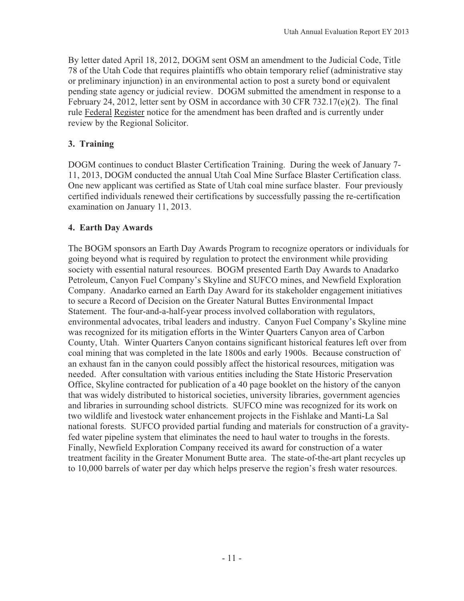By letter dated April 18, 2012, DOGM sent OSM an amendment to the Judicial Code, Title 78 of the Utah Code that requires plaintiffs who obtain temporary relief (administrative stay or preliminary injunction) in an environmental action to post a surety bond or equivalent pending state agency or judicial review. DOGM submitted the amendment in response to a February 24, 2012, letter sent by OSM in accordance with 30 CFR 732.17(e)(2). The final rule Federal Register notice for the amendment has been drafted and is currently under review by the Regional Solicitor.

## **3. Training**

DOGM continues to conduct Blaster Certification Training. During the week of January 7- 11, 2013, DOGM conducted the annual Utah Coal Mine Surface Blaster Certification class. One new applicant was certified as State of Utah coal mine surface blaster. Four previously certified individuals renewed their certifications by successfully passing the re-certification examination on January 11, 2013.

## **4. Earth Day Awards**

The BOGM sponsors an Earth Day Awards Program to recognize operators or individuals for going beyond what is required by regulation to protect the environment while providing society with essential natural resources. BOGM presented Earth Day Awards to Anadarko Petroleum, Canyon Fuel Company's Skyline and SUFCO mines, and Newfield Exploration Company. Anadarko earned an Earth Day Award for its stakeholder engagement initiatives to secure a Record of Decision on the Greater Natural Buttes Environmental Impact Statement. The four-and-a-half-year process involved collaboration with regulators, environmental advocates, tribal leaders and industry. Canyon Fuel Company's Skyline mine was recognized for its mitigation efforts in the Winter Quarters Canyon area of Carbon County, Utah. Winter Quarters Canyon contains significant historical features left over from coal mining that was completed in the late 1800s and early 1900s. Because construction of an exhaust fan in the canyon could possibly affect the historical resources, mitigation was needed. After consultation with various entities including the State Historic Preservation Office, Skyline contracted for publication of a 40 page booklet on the history of the canyon that was widely distributed to historical societies, university libraries, government agencies and libraries in surrounding school districts. SUFCO mine was recognized for its work on two wildlife and livestock water enhancement projects in the Fishlake and Manti-La Sal national forests. SUFCO provided partial funding and materials for construction of a gravityfed water pipeline system that eliminates the need to haul water to troughs in the forests. Finally, Newfield Exploration Company received its award for construction of a water treatment facility in the Greater Monument Butte area. The state-of-the-art plant recycles up to 10,000 barrels of water per day which helps preserve the region's fresh water resources.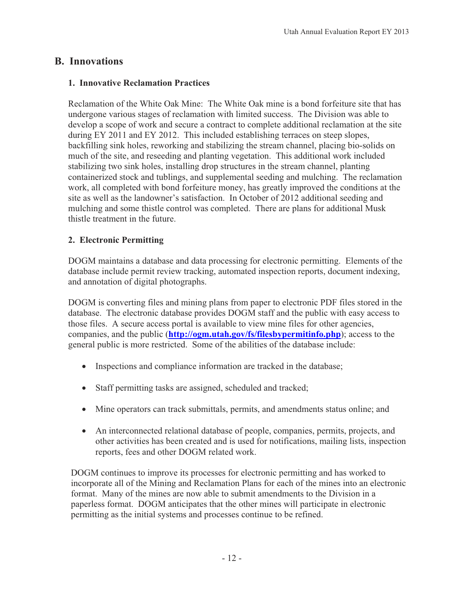# **B. Innovations**

## **1. Innovative Reclamation Practices**

Reclamation of the White Oak Mine: The White Oak mine is a bond forfeiture site that has undergone various stages of reclamation with limited success. The Division was able to develop a scope of work and secure a contract to complete additional reclamation at the site during EY 2011 and EY 2012. This included establishing terraces on steep slopes, backfilling sink holes, reworking and stabilizing the stream channel, placing bio-solids on much of the site, and reseeding and planting vegetation. This additional work included stabilizing two sink holes, installing drop structures in the stream channel, planting containerized stock and tublings, and supplemental seeding and mulching. The reclamation work, all completed with bond forfeiture money, has greatly improved the conditions at the site as well as the landowner's satisfaction. In October of 2012 additional seeding and mulching and some thistle control was completed. There are plans for additional Musk thistle treatment in the future.

## **2. Electronic Permitting**

DOGM maintains a database and data processing for electronic permitting. Elements of the database include permit review tracking, automated inspection reports, document indexing, and annotation of digital photographs.

DOGM is converting files and mining plans from paper to electronic PDF files stored in the database. The electronic database provides DOGM staff and the public with easy access to those files. A secure access portal is available to view mine files for other agencies, companies, and the public (**http://ogm.utah.gov/fs/filesbypermitinfo.php**); access to the general public is more restricted. Some of the abilities of the database include:

- Inspections and compliance information are tracked in the database;
- Staff permitting tasks are assigned, scheduled and tracked;
- Mine operators can track submittals, permits, and amendments status online; and
- An interconnected relational database of people, companies, permits, projects, and other activities has been created and is used for notifications, mailing lists, inspection reports, fees and other DOGM related work.

DOGM continues to improve its processes for electronic permitting and has worked to incorporate all of the Mining and Reclamation Plans for each of the mines into an electronic format. Many of the mines are now able to submit amendments to the Division in a paperless format. DOGM anticipates that the other mines will participate in electronic permitting as the initial systems and processes continue to be refined.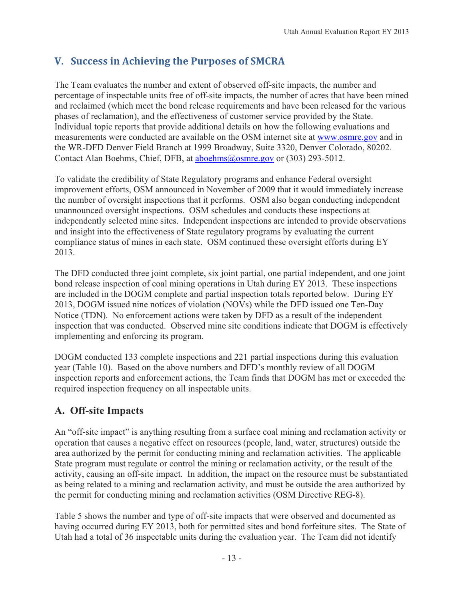# **V.---Success-in-Achieving-the-Purposes-of-SMCRA**

The Team evaluates the number and extent of observed off-site impacts, the number and percentage of inspectable units free of off-site impacts, the number of acres that have been mined and reclaimed (which meet the bond release requirements and have been released for the various phases of reclamation), and the effectiveness of customer service provided by the State. Individual topic reports that provide additional details on how the following evaluations and measurements were conducted are available on the OSM internet site at www.osmre.gov and in the WR-DFD Denver Field Branch at 1999 Broadway, Suite 3320, Denver Colorado, 80202. Contact Alan Boehms, Chief, DFB, at aboehms@osmre.gov or (303) 293-5012.

To validate the credibility of State Regulatory programs and enhance Federal oversight improvement efforts, OSM announced in November of 2009 that it would immediately increase the number of oversight inspections that it performs. OSM also began conducting independent unannounced oversight inspections. OSM schedules and conducts these inspections at independently selected mine sites. Independent inspections are intended to provide observations and insight into the effectiveness of State regulatory programs by evaluating the current compliance status of mines in each state. OSM continued these oversight efforts during EY 2013.

The DFD conducted three joint complete, six joint partial, one partial independent, and one joint bond release inspection of coal mining operations in Utah during EY 2013. These inspections are included in the DOGM complete and partial inspection totals reported below. During EY 2013, DOGM issued nine notices of violation (NOVs) while the DFD issued one Ten-Day Notice (TDN). No enforcement actions were taken by DFD as a result of the independent inspection that was conducted. Observed mine site conditions indicate that DOGM is effectively implementing and enforcing its program.

DOGM conducted 133 complete inspections and 221 partial inspections during this evaluation year (Table 10). Based on the above numbers and DFD's monthly review of all DOGM inspection reports and enforcement actions, the Team finds that DOGM has met or exceeded the required inspection frequency on all inspectable units.

# **A. Off-site Impacts**

An "off-site impact" is anything resulting from a surface coal mining and reclamation activity or operation that causes a negative effect on resources (people, land, water, structures) outside the area authorized by the permit for conducting mining and reclamation activities. The applicable State program must regulate or control the mining or reclamation activity, or the result of the activity, causing an off-site impact. In addition, the impact on the resource must be substantiated as being related to a mining and reclamation activity, and must be outside the area authorized by the permit for conducting mining and reclamation activities (OSM Directive REG-8).

Table 5 shows the number and type of off-site impacts that were observed and documented as having occurred during EY 2013, both for permitted sites and bond forfeiture sites. The State of Utah had a total of 36 inspectable units during the evaluation year. The Team did not identify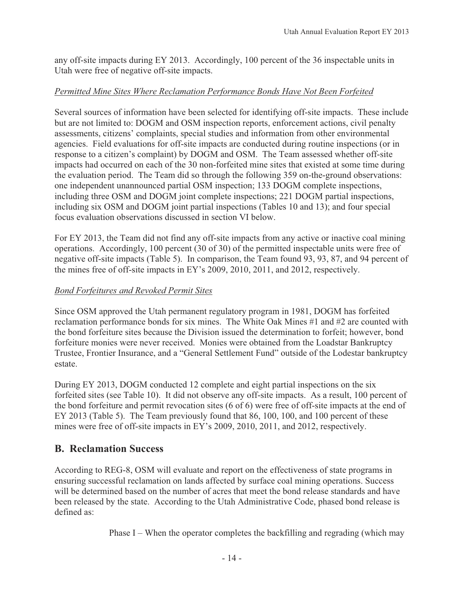any off-site impacts during EY 2013. Accordingly, 100 percent of the 36 inspectable units in Utah were free of negative off-site impacts.

## *Permitted Mine Sites Where Reclamation Performance Bonds Have Not Been Forfeited*

Several sources of information have been selected for identifying off-site impacts. These include but are not limited to: DOGM and OSM inspection reports, enforcement actions, civil penalty assessments, citizens' complaints, special studies and information from other environmental agencies. Field evaluations for off-site impacts are conducted during routine inspections (or in response to a citizen's complaint) by DOGM and OSM. The Team assessed whether off-site impacts had occurred on each of the 30 non-forfeited mine sites that existed at some time during the evaluation period. The Team did so through the following 359 on-the-ground observations: one independent unannounced partial OSM inspection; 133 DOGM complete inspections, including three OSM and DOGM joint complete inspections; 221 DOGM partial inspections, including six OSM and DOGM joint partial inspections (Tables 10 and 13); and four special focus evaluation observations discussed in section VI below.

For EY 2013, the Team did not find any off-site impacts from any active or inactive coal mining operations. Accordingly, 100 percent (30 of 30) of the permitted inspectable units were free of negative off-site impacts (Table 5). In comparison, the Team found 93, 93, 87, and 94 percent of the mines free of off-site impacts in EY's 2009, 2010, 2011, and 2012, respectively.

## *Bond Forfeitures and Revoked Permit Sites*

Since OSM approved the Utah permanent regulatory program in 1981, DOGM has forfeited reclamation performance bonds for six mines. The White Oak Mines #1 and #2 are counted with the bond forfeiture sites because the Division issued the determination to forfeit; however, bond forfeiture monies were never received. Monies were obtained from the Loadstar Bankruptcy Trustee, Frontier Insurance, and a "General Settlement Fund" outside of the Lodestar bankruptcy estate.

During EY 2013, DOGM conducted 12 complete and eight partial inspections on the six forfeited sites (see Table 10). It did not observe any off-site impacts. As a result, 100 percent of the bond forfeiture and permit revocation sites (6 of 6) were free of off-site impacts at the end of EY 2013 (Table 5). The Team previously found that 86, 100, 100, and 100 percent of these mines were free of off-site impacts in EY's 2009, 2010, 2011, and 2012, respectively.

# **B. Reclamation Success**

According to REG-8, OSM will evaluate and report on the effectiveness of state programs in ensuring successful reclamation on lands affected by surface coal mining operations. Success will be determined based on the number of acres that meet the bond release standards and have been released by the state. According to the Utah Administrative Code, phased bond release is defined as:

Phase I – When the operator completes the backfilling and regrading (which may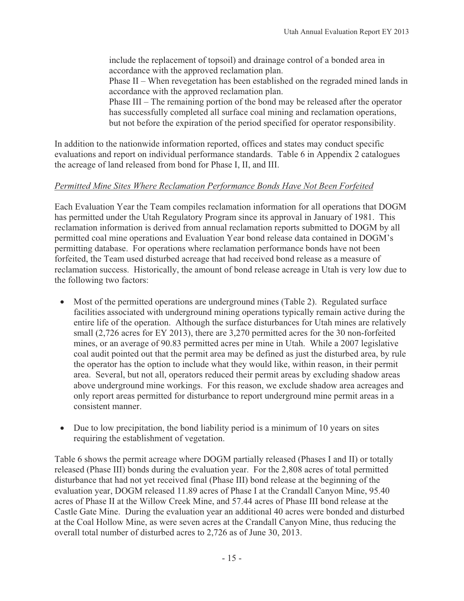include the replacement of topsoil) and drainage control of a bonded area in accordance with the approved reclamation plan.

Phase II – When revegetation has been established on the regraded mined lands in accordance with the approved reclamation plan.

Phase III – The remaining portion of the bond may be released after the operator has successfully completed all surface coal mining and reclamation operations, but not before the expiration of the period specified for operator responsibility.

In addition to the nationwide information reported, offices and states may conduct specific evaluations and report on individual performance standards. Table 6 in Appendix 2 catalogues the acreage of land released from bond for Phase I, II, and III.

## *Permitted Mine Sites Where Reclamation Performance Bonds Have Not Been Forfeited*

Each Evaluation Year the Team compiles reclamation information for all operations that DOGM has permitted under the Utah Regulatory Program since its approval in January of 1981. This reclamation information is derived from annual reclamation reports submitted to DOGM by all permitted coal mine operations and Evaluation Year bond release data contained in DOGM's permitting database. For operations where reclamation performance bonds have not been forfeited, the Team used disturbed acreage that had received bond release as a measure of reclamation success. Historically, the amount of bond release acreage in Utah is very low due to the following two factors:

- Most of the permitted operations are underground mines (Table 2). Regulated surface facilities associated with underground mining operations typically remain active during the entire life of the operation. Although the surface disturbances for Utah mines are relatively small (2,726 acres for EY 2013), there are 3,270 permitted acres for the 30 non-forfeited mines, or an average of 90.83 permitted acres per mine in Utah. While a 2007 legislative coal audit pointed out that the permit area may be defined as just the disturbed area, by rule the operator has the option to include what they would like, within reason, in their permit area. Several, but not all, operators reduced their permit areas by excluding shadow areas above underground mine workings. For this reason, we exclude shadow area acreages and only report areas permitted for disturbance to report underground mine permit areas in a consistent manner.
- $\bullet$  Due to low precipitation, the bond liability period is a minimum of 10 years on sites requiring the establishment of vegetation.

Table 6 shows the permit acreage where DOGM partially released (Phases I and II) or totally released (Phase III) bonds during the evaluation year. For the 2,808 acres of total permitted disturbance that had not yet received final (Phase III) bond release at the beginning of the evaluation year, DOGM released 11.89 acres of Phase I at the Crandall Canyon Mine, 95.40 acres of Phase II at the Willow Creek Mine, and 57.44 acres of Phase III bond release at the Castle Gate Mine. During the evaluation year an additional 40 acres were bonded and disturbed at the Coal Hollow Mine, as were seven acres at the Crandall Canyon Mine, thus reducing the overall total number of disturbed acres to 2,726 as of June 30, 2013.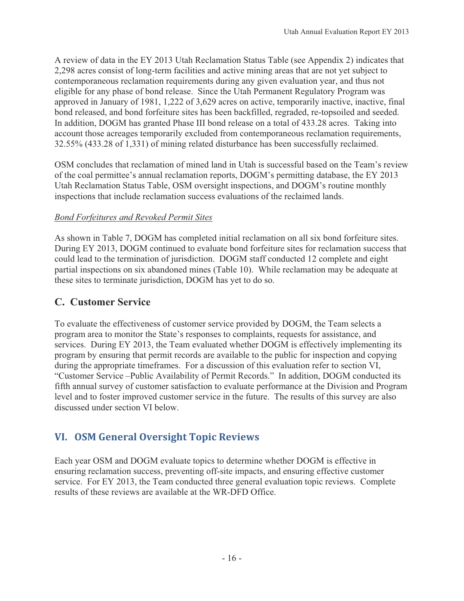A review of data in the EY 2013 Utah Reclamation Status Table (see Appendix 2) indicates that 2,298 acres consist of long-term facilities and active mining areas that are not yet subject to contemporaneous reclamation requirements during any given evaluation year, and thus not eligible for any phase of bond release. Since the Utah Permanent Regulatory Program was approved in January of 1981, 1,222 of 3,629 acres on active, temporarily inactive, inactive, final bond released, and bond forfeiture sites has been backfilled, regraded, re-topsoiled and seeded. In addition, DOGM has granted Phase III bond release on a total of 433.28 acres. Taking into account those acreages temporarily excluded from contemporaneous reclamation requirements, 32.55% (433.28 of 1,331) of mining related disturbance has been successfully reclaimed.

OSM concludes that reclamation of mined land in Utah is successful based on the Team's review of the coal permittee's annual reclamation reports, DOGM's permitting database, the EY 2013 Utah Reclamation Status Table, OSM oversight inspections, and DOGM's routine monthly inspections that include reclamation success evaluations of the reclaimed lands.

## *Bond Forfeitures and Revoked Permit Sites*

As shown in Table 7, DOGM has completed initial reclamation on all six bond forfeiture sites. During EY 2013, DOGM continued to evaluate bond forfeiture sites for reclamation success that could lead to the termination of jurisdiction. DOGM staff conducted 12 complete and eight partial inspections on six abandoned mines (Table 10). While reclamation may be adequate at these sites to terminate jurisdiction, DOGM has yet to do so.

# **C. Customer Service**

To evaluate the effectiveness of customer service provided by DOGM, the Team selects a program area to monitor the State's responses to complaints, requests for assistance, and services. During EY 2013, the Team evaluated whether DOGM is effectively implementing its program by ensuring that permit records are available to the public for inspection and copying during the appropriate timeframes. For a discussion of this evaluation refer to section VI, "Customer Service –Public Availability of Permit Records." In addition, DOGM conducted its fifth annual survey of customer satisfaction to evaluate performance at the Division and Program level and to foster improved customer service in the future. The results of this survey are also discussed under section VI below.

# **VI.---OSM-General-Oversight-Topic-Reviews**

Each year OSM and DOGM evaluate topics to determine whether DOGM is effective in ensuring reclamation success, preventing off-site impacts, and ensuring effective customer service. For EY 2013, the Team conducted three general evaluation topic reviews. Complete results of these reviews are available at the WR-DFD Office.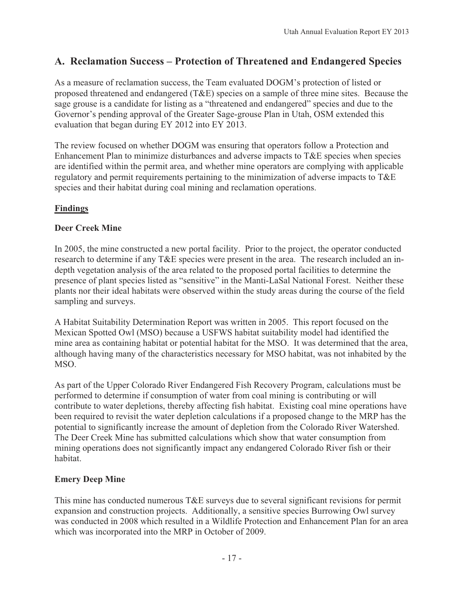# **A. Reclamation Success – Protection of Threatened and Endangered Species**

As a measure of reclamation success, the Team evaluated DOGM's protection of listed or proposed threatened and endangered (T&E) species on a sample of three mine sites. Because the sage grouse is a candidate for listing as a "threatened and endangered" species and due to the Governor's pending approval of the Greater Sage-grouse Plan in Utah, OSM extended this evaluation that began during EY 2012 into EY 2013.

The review focused on whether DOGM was ensuring that operators follow a Protection and Enhancement Plan to minimize disturbances and adverse impacts to T&E species when species are identified within the permit area, and whether mine operators are complying with applicable regulatory and permit requirements pertaining to the minimization of adverse impacts to T&E species and their habitat during coal mining and reclamation operations.

## **Findings**

## **Deer Creek Mine**

In 2005, the mine constructed a new portal facility. Prior to the project, the operator conducted research to determine if any T&E species were present in the area. The research included an indepth vegetation analysis of the area related to the proposed portal facilities to determine the presence of plant species listed as "sensitive" in the Manti-LaSal National Forest. Neither these plants nor their ideal habitats were observed within the study areas during the course of the field sampling and surveys.

A Habitat Suitability Determination Report was written in 2005. This report focused on the Mexican Spotted Owl (MSO) because a USFWS habitat suitability model had identified the mine area as containing habitat or potential habitat for the MSO. It was determined that the area, although having many of the characteristics necessary for MSO habitat, was not inhabited by the MSO.

As part of the Upper Colorado River Endangered Fish Recovery Program, calculations must be performed to determine if consumption of water from coal mining is contributing or will contribute to water depletions, thereby affecting fish habitat. Existing coal mine operations have been required to revisit the water depletion calculations if a proposed change to the MRP has the potential to significantly increase the amount of depletion from the Colorado River Watershed. The Deer Creek Mine has submitted calculations which show that water consumption from mining operations does not significantly impact any endangered Colorado River fish or their habitat.

## **Emery Deep Mine**

This mine has conducted numerous T&E surveys due to several significant revisions for permit expansion and construction projects. Additionally, a sensitive species Burrowing Owl survey was conducted in 2008 which resulted in a Wildlife Protection and Enhancement Plan for an area which was incorporated into the MRP in October of 2009.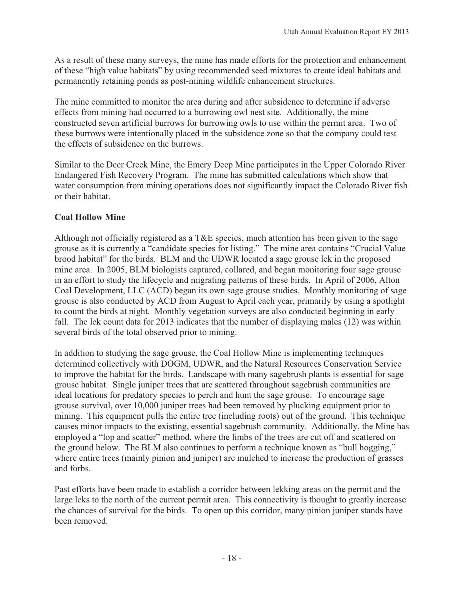As a result of these many surveys, the mine has made efforts for the protection and enhancement of these "high value habitats" by using recommended seed mixtures to create ideal habitats and permanently retaining ponds as post-mining wildlife enhancement structures.

The mine committed to monitor the area during and after subsidence to determine if adverse effects from mining had occurred to a burrowing owl nest site. Additionally, the mine constructed seven artificial burrows for burrowing owls to use within the permit area. Two of these burrows were intentionally placed in the subsidence zone so that the company could test the effects of subsidence on the burrows.

Similar to the Deer Creek Mine, the Emery Deep Mine participates in the Upper Colorado River Endangered Fish Recovery Program. The mine has submitted calculations which show that water consumption from mining operations does not significantly impact the Colorado River fish or their habitat.

## **Coal Hollow Mine**

Although not officially registered as a T&E species, much attention has been given to the sage grouse as it is currently a "candidate species for listing." The mine area contains "Crucial Value brood habitat" for the birds. BLM and the UDWR located a sage grouse lek in the proposed mine area. In 2005, BLM biologists captured, collared, and began monitoring four sage grouse in an effort to study the lifecycle and migrating patterns of these birds. In April of 2006, Alton Coal Development, LLC (ACD) began its own sage grouse studies. Monthly monitoring of sage grouse is also conducted by ACD from August to April each year, primarily by using a spotlight to count the birds at night. Monthly vegetation surveys are also conducted beginning in early fall. The lek count data for 2013 indicates that the number of displaying males (12) was within several birds of the total observed prior to mining.

In addition to studying the sage grouse, the Coal Hollow Mine is implementing techniques determined collectively with DOGM, UDWR, and the Natural Resources Conservation Service to improve the habitat for the birds. Landscape with many sagebrush plants is essential for sage grouse habitat. Single juniper trees that are scattered throughout sagebrush communities are ideal locations for predatory species to perch and hunt the sage grouse. To encourage sage grouse survival, over 10,000 juniper trees had been removed by plucking equipment prior to mining. This equipment pulls the entire tree (including roots) out of the ground. This technique causes minor impacts to the existing, essential sagebrush community. Additionally, the Mine has employed a "lop and scatter" method, where the limbs of the trees are cut off and scattered on the ground below. The BLM also continues to perform a technique known as "bull hogging," where entire trees (mainly pinion and juniper) are mulched to increase the production of grasses and forbs.

Past efforts have been made to establish a corridor between lekking areas on the permit and the large leks to the north of the current permit area. This connectivity is thought to greatly increase the chances of survival for the birds. To open up this corridor, many pinion juniper stands have been removed.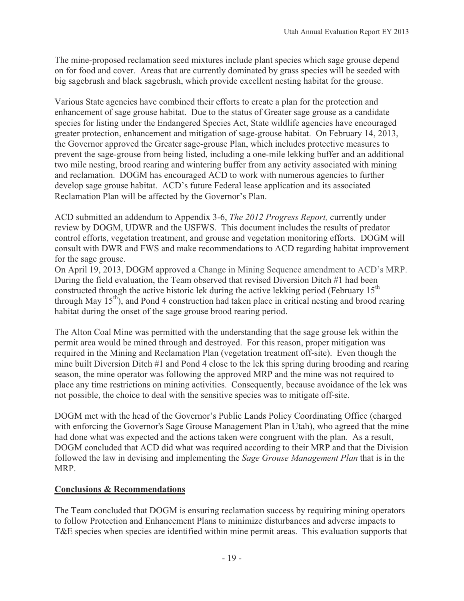The mine-proposed reclamation seed mixtures include plant species which sage grouse depend on for food and cover. Areas that are currently dominated by grass species will be seeded with big sagebrush and black sagebrush, which provide excellent nesting habitat for the grouse.

Various State agencies have combined their efforts to create a plan for the protection and enhancement of sage grouse habitat. Due to the status of Greater sage grouse as a candidate species for listing under the Endangered Species Act, State wildlife agencies have encouraged greater protection, enhancement and mitigation of sage-grouse habitat. On February 14, 2013, the Governor approved the Greater sage-grouse Plan, which includes protective measures to prevent the sage-grouse from being listed, including a one-mile lekking buffer and an additional two mile nesting, brood rearing and wintering buffer from any activity associated with mining and reclamation. DOGM has encouraged ACD to work with numerous agencies to further develop sage grouse habitat. ACD's future Federal lease application and its associated Reclamation Plan will be affected by the Governor's Plan.

ACD submitted an addendum to Appendix 3-6, *The 2012 Progress Report,* currently under review by DOGM, UDWR and the USFWS. This document includes the results of predator control efforts, vegetation treatment, and grouse and vegetation monitoring efforts. DOGM will consult with DWR and FWS and make recommendations to ACD regarding habitat improvement for the sage grouse.

On April 19, 2013, DOGM approved a Change in Mining Sequence amendment to ACD's MRP. During the field evaluation, the Team observed that revised Diversion Ditch #1 had been constructed through the active historic lek during the active lekking period (February  $15<sup>th</sup>$ through May  $15<sup>th</sup>$ , and Pond 4 construction had taken place in critical nesting and brood rearing habitat during the onset of the sage grouse brood rearing period.

The Alton Coal Mine was permitted with the understanding that the sage grouse lek within the permit area would be mined through and destroyed. For this reason, proper mitigation was required in the Mining and Reclamation Plan (vegetation treatment off-site). Even though the mine built Diversion Ditch #1 and Pond 4 close to the lek this spring during brooding and rearing season, the mine operator was following the approved MRP and the mine was not required to place any time restrictions on mining activities. Consequently, because avoidance of the lek was not possible, the choice to deal with the sensitive species was to mitigate off-site.

DOGM met with the head of the Governor's Public Lands Policy Coordinating Office (charged with enforcing the Governor's Sage Grouse Management Plan in Utah), who agreed that the mine had done what was expected and the actions taken were congruent with the plan. As a result, DOGM concluded that ACD did what was required according to their MRP and that the Division followed the law in devising and implementing the *Sage Grouse Management Plan* that is in the MRP.

## **Conclusions & Recommendations**

The Team concluded that DOGM is ensuring reclamation success by requiring mining operators to follow Protection and Enhancement Plans to minimize disturbances and adverse impacts to T&E species when species are identified within mine permit areas. This evaluation supports that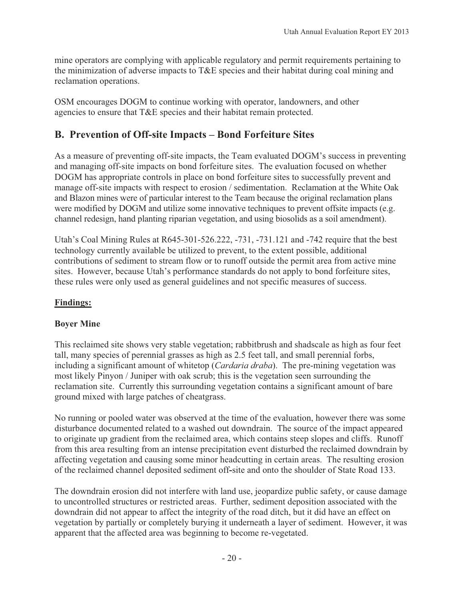mine operators are complying with applicable regulatory and permit requirements pertaining to the minimization of adverse impacts to T&E species and their habitat during coal mining and reclamation operations.

OSM encourages DOGM to continue working with operator, landowners, and other agencies to ensure that T&E species and their habitat remain protected.

# **B. Prevention of Off-site Impacts – Bond Forfeiture Sites**

As a measure of preventing off-site impacts, the Team evaluated DOGM's success in preventing and managing off-site impacts on bond forfeiture sites. The evaluation focused on whether DOGM has appropriate controls in place on bond forfeiture sites to successfully prevent and manage off-site impacts with respect to erosion / sedimentation. Reclamation at the White Oak and Blazon mines were of particular interest to the Team because the original reclamation plans were modified by DOGM and utilize some innovative techniques to prevent offsite impacts (e.g. channel redesign, hand planting riparian vegetation, and using biosolids as a soil amendment).

Utah's Coal Mining Rules at R645-301-526.222, -731, -731.121 and -742 require that the best technology currently available be utilized to prevent, to the extent possible, additional contributions of sediment to stream flow or to runoff outside the permit area from active mine sites. However, because Utah's performance standards do not apply to bond forfeiture sites, these rules were only used as general guidelines and not specific measures of success.

## **Findings:**

## **Boyer Mine**

This reclaimed site shows very stable vegetation; rabbitbrush and shadscale as high as four feet tall, many species of perennial grasses as high as 2.5 feet tall, and small perennial forbs, including a significant amount of whitetop (*Cardaria draba*). The pre-mining vegetation was most likely Pinyon / Juniper with oak scrub; this is the vegetation seen surrounding the reclamation site. Currently this surrounding vegetation contains a significant amount of bare ground mixed with large patches of cheatgrass.

No running or pooled water was observed at the time of the evaluation, however there was some disturbance documented related to a washed out downdrain. The source of the impact appeared to originate up gradient from the reclaimed area, which contains steep slopes and cliffs. Runoff from this area resulting from an intense precipitation event disturbed the reclaimed downdrain by affecting vegetation and causing some minor headcutting in certain areas. The resulting erosion of the reclaimed channel deposited sediment off**-**site and onto the shoulder of State Road 133.

The downdrain erosion did not interfere with land use, jeopardize public safety, or cause damage to uncontrolled structures or restricted areas. Further, sediment deposition associated with the downdrain did not appear to affect the integrity of the road ditch, but it did have an effect on vegetation by partially or completely burying it underneath a layer of sediment. However, it was apparent that the affected area was beginning to become re-vegetated.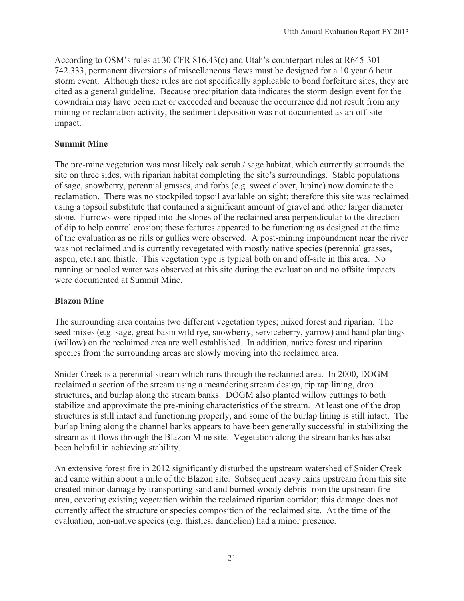According to OSM's rules at 30 CFR 816.43(c) and Utah's counterpart rules at R645-301- 742.333, permanent diversions of miscellaneous flows must be designed for a 10 year 6 hour storm event. Although these rules are not specifically applicable to bond forfeiture sites, they are cited as a general guideline. Because precipitation data indicates the storm design event for the downdrain may have been met or exceeded and because the occurrence did not result from any mining or reclamation activity, the sediment deposition was not documented as an off-site impact.

## **Summit Mine**

The pre-mine vegetation was most likely oak scrub / sage habitat, which currently surrounds the site on three sides, with riparian habitat completing the site's surroundings. Stable populations of sage, snowberry, perennial grasses, and forbs (e.g. sweet clover, lupine) now dominate the reclamation. There was no stockpiled topsoil available on sight; therefore this site was reclaimed using a topsoil substitute that contained a significant amount of gravel and other larger diameter stone. Furrows were ripped into the slopes of the reclaimed area perpendicular to the direction of dip to help control erosion; these features appeared to be functioning as designed at the time of the evaluation as no rills or gullies were observed. A post**-**mining impoundment near the river was not reclaimed and is currently revegetated with mostly native species (perennial grasses, aspen, etc.) and thistle. This vegetation type is typical both on and off-site in this area. No running or pooled water was observed at this site during the evaluation and no offsite impacts were documented at Summit Mine.

#### **Blazon Mine**

The surrounding area contains two different vegetation types; mixed forest and riparian. The seed mixes (e.g. sage, great basin wild rye, snowberry, serviceberry, yarrow) and hand plantings (willow) on the reclaimed area are well established. In addition, native forest and riparian species from the surrounding areas are slowly moving into the reclaimed area.

Snider Creek is a perennial stream which runs through the reclaimed area. In 2000, DOGM reclaimed a section of the stream using a meandering stream design, rip rap lining, drop structures, and burlap along the stream banks. DOGM also planted willow cuttings to both stabilize and approximate the pre-mining characteristics of the stream. At least one of the drop structures is still intact and functioning properly, and some of the burlap lining is still intact. The burlap lining along the channel banks appears to have been generally successful in stabilizing the stream as it flows through the Blazon Mine site. Vegetation along the stream banks has also been helpful in achieving stability.

An extensive forest fire in 2012 significantly disturbed the upstream watershed of Snider Creek and came within about a mile of the Blazon site. Subsequent heavy rains upstream from this site created minor damage by transporting sand and burned woody debris from the upstream fire area, covering existing vegetation within the reclaimed riparian corridor; this damage does not currently affect the structure or species composition of the reclaimed site. At the time of the evaluation, non-native species (e.g. thistles, dandelion) had a minor presence.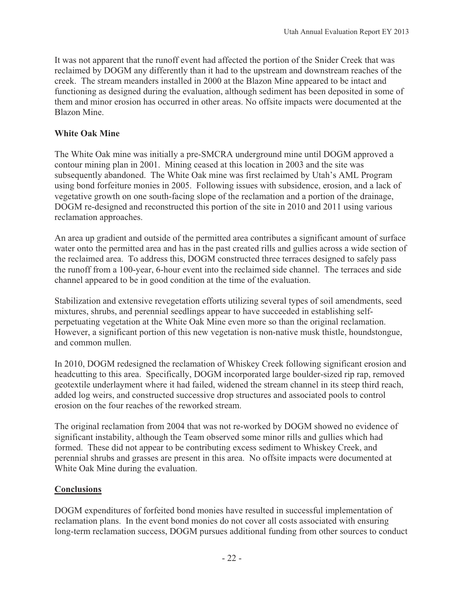It was not apparent that the runoff event had affected the portion of the Snider Creek that was reclaimed by DOGM any differently than it had to the upstream and downstream reaches of the creek. The stream meanders installed in 2000 at the Blazon Mine appeared to be intact and functioning as designed during the evaluation, although sediment has been deposited in some of them and minor erosion has occurred in other areas. No offsite impacts were documented at the Blazon Mine.

## **White Oak Mine**

The White Oak mine was initially a pre-SMCRA underground mine until DOGM approved a contour mining plan in 2001. Mining ceased at this location in 2003 and the site was subsequently abandoned. The White Oak mine was first reclaimed by Utah's AML Program using bond forfeiture monies in 2005. Following issues with subsidence, erosion, and a lack of vegetative growth on one south-facing slope of the reclamation and a portion of the drainage, DOGM re-designed and reconstructed this portion of the site in 2010 and 2011 using various reclamation approaches.

An area up gradient and outside of the permitted area contributes a significant amount of surface water onto the permitted area and has in the past created rills and gullies across a wide section of the reclaimed area. To address this, DOGM constructed three terraces designed to safely pass the runoff from a 100-year, 6-hour event into the reclaimed side channel. The terraces and side channel appeared to be in good condition at the time of the evaluation.

Stabilization and extensive revegetation efforts utilizing several types of soil amendments, seed mixtures, shrubs, and perennial seedlings appear to have succeeded in establishing selfperpetuating vegetation at the White Oak Mine even more so than the original reclamation. However, a significant portion of this new vegetation is non-native musk thistle, houndstongue, and common mullen.

In 2010, DOGM redesigned the reclamation of Whiskey Creek following significant erosion and headcutting to this area. Specifically, DOGM incorporated large boulder-sized rip rap, removed geotextile underlayment where it had failed, widened the stream channel in its steep third reach, added log weirs, and constructed successive drop structures and associated pools to control erosion on the four reaches of the reworked stream.

The original reclamation from 2004 that was not re-worked by DOGM showed no evidence of significant instability, although the Team observed some minor rills and gullies which had formed. These did not appear to be contributing excess sediment to Whiskey Creek, and perennial shrubs and grasses are present in this area. No offsite impacts were documented at White Oak Mine during the evaluation.

#### **Conclusions**

DOGM expenditures of forfeited bond monies have resulted in successful implementation of reclamation plans. In the event bond monies do not cover all costs associated with ensuring long-term reclamation success, DOGM pursues additional funding from other sources to conduct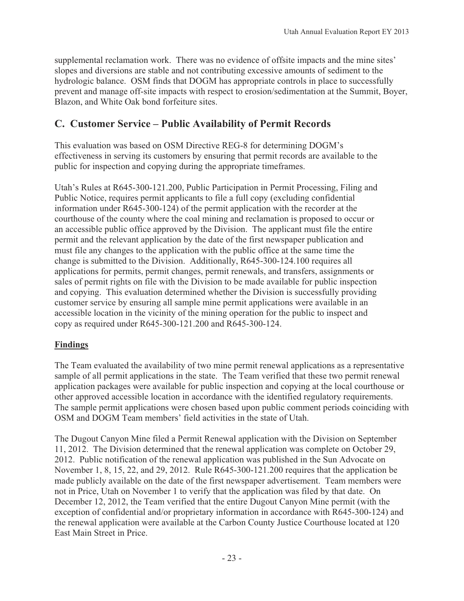supplemental reclamation work. There was no evidence of offsite impacts and the mine sites' slopes and diversions are stable and not contributing excessive amounts of sediment to the hydrologic balance. OSM finds that DOGM has appropriate controls in place to successfully prevent and manage off-site impacts with respect to erosion/sedimentation at the Summit, Boyer, Blazon, and White Oak bond forfeiture sites.

# **C. Customer Service – Public Availability of Permit Records**

This evaluation was based on OSM Directive REG-8 for determining DOGM's effectiveness in serving its customers by ensuring that permit records are available to the public for inspection and copying during the appropriate timeframes.

Utah's Rules at R645-300-121.200, Public Participation in Permit Processing, Filing and Public Notice, requires permit applicants to file a full copy (excluding confidential information under R645-300-124) of the permit application with the recorder at the courthouse of the county where the coal mining and reclamation is proposed to occur or an accessible public office approved by the Division. The applicant must file the entire permit and the relevant application by the date of the first newspaper publication and must file any changes to the application with the public office at the same time the change is submitted to the Division. Additionally, R645-300-124.100 requires all applications for permits, permit changes, permit renewals, and transfers, assignments or sales of permit rights on file with the Division to be made available for public inspection and copying. This evaluation determined whether the Division is successfully providing customer service by ensuring all sample mine permit applications were available in an accessible location in the vicinity of the mining operation for the public to inspect and copy as required under R645-300-121.200 and R645-300-124.

## **Findings**

The Team evaluated the availability of two mine permit renewal applications as a representative sample of all permit applications in the state. The Team verified that these two permit renewal application packages were available for public inspection and copying at the local courthouse or other approved accessible location in accordance with the identified regulatory requirements. The sample permit applications were chosen based upon public comment periods coinciding with OSM and DOGM Team members' field activities in the state of Utah.

The Dugout Canyon Mine filed a Permit Renewal application with the Division on September 11, 2012. The Division determined that the renewal application was complete on October 29, 2012. Public notification of the renewal application was published in the Sun Advocate on November 1, 8, 15, 22, and 29, 2012. Rule R645-300-121.200 requires that the application be made publicly available on the date of the first newspaper advertisement. Team members were not in Price, Utah on November 1 to verify that the application was filed by that date. On December 12, 2012, the Team verified that the entire Dugout Canyon Mine permit (with the exception of confidential and/or proprietary information in accordance with R645-300-124) and the renewal application were available at the Carbon County Justice Courthouse located at 120 East Main Street in Price.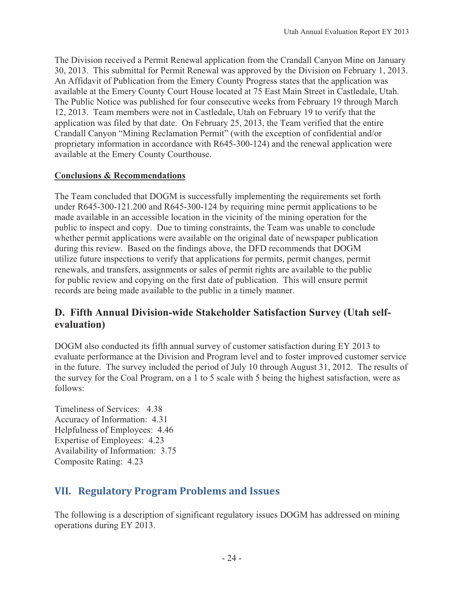The Division received a Permit Renewal application from the Crandall Canyon Mine on January 30, 2013. This submittal for Permit Renewal was approved by the Division on February 1, 2013. An Affidavit of Publication from the Emery County Progress states that the application was available at the Emery County Court House located at 75 East Main Street in Castledale, Utah. The Public Notice was published for four consecutive weeks from February 19 through March 12, 2013. Team members were not in Castledale, Utah on February 19 to verify that the application was filed by that date. On February 25, 2013, the Team verified that the entire Crandall Canyon "Mining Reclamation Permit" (with the exception of confidential and/or proprietary information in accordance with R645-300-124) and the renewal application were available at the Emery County Courthouse.

## **Conclusions & Recommendations**

The Team concluded that DOGM is successfully implementing the requirements set forth under R645-300-121.200 and R645-300-124 by requiring mine permit applications to be made available in an accessible location in the vicinity of the mining operation for the public to inspect and copy. Due to timing constraints, the Team was unable to conclude whether permit applications were available on the original date of newspaper publication during this review. Based on the findings above, the DFD recommends that DOGM utilize future inspections to verify that applications for permits, permit changes, permit renewals, and transfers, assignments or sales of permit rights are available to the public for public review and copying on the first date of publication. This will ensure permit records are being made available to the public in a timely manner.

# **D. Fifth Annual Division-wide Stakeholder Satisfaction Survey (Utah selfevaluation)**

DOGM also conducted its fifth annual survey of customer satisfaction during EY 2013 to evaluate performance at the Division and Program level and to foster improved customer service in the future. The survey included the period of July 10 through August 31, 2012. The results of the survey for the Coal Program, on a 1 to 5 scale with 5 being the highest satisfaction, were as follows:

Timeliness of Services: 4.38 Accuracy of Information: 4.31 Helpfulness of Employees: 4.46 Expertise of Employees: 4.23 Availability of Information: 3.75 Composite Rating: 4.23

# **VII.---Regulatory-Program-Problems-and-Issues**

The following is a description of significant regulatory issues DOGM has addressed on mining operations during EY 2013.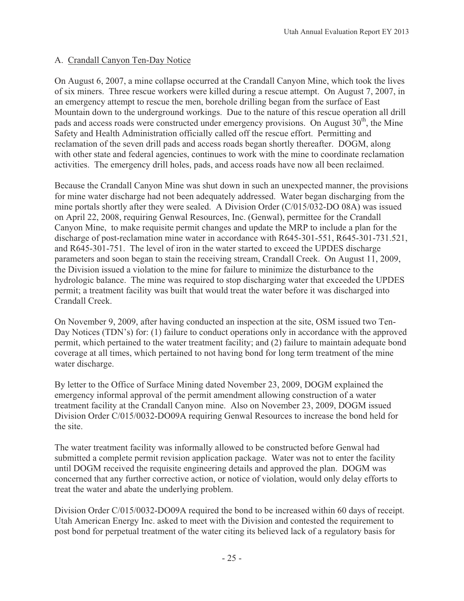#### A. Crandall Canyon Ten-Day Notice

On August 6, 2007, a mine collapse occurred at the Crandall Canyon Mine, which took the lives of six miners. Three rescue workers were killed during a rescue attempt. On August 7, 2007, in an emergency attempt to rescue the men, borehole drilling began from the surface of East Mountain down to the underground workings. Due to the nature of this rescue operation all drill pads and access roads were constructed under emergency provisions. On August  $30<sup>th</sup>$ , the Mine Safety and Health Administration officially called off the rescue effort. Permitting and reclamation of the seven drill pads and access roads began shortly thereafter. DOGM, along with other state and federal agencies, continues to work with the mine to coordinate reclamation activities. The emergency drill holes, pads, and access roads have now all been reclaimed.

Because the Crandall Canyon Mine was shut down in such an unexpected manner, the provisions for mine water discharge had not been adequately addressed. Water began discharging from the mine portals shortly after they were sealed. A Division Order (C/015/032-DO 08A) was issued on April 22, 2008, requiring Genwal Resources, Inc. (Genwal), permittee for the Crandall Canyon Mine, to make requisite permit changes and update the MRP to include a plan for the discharge of post-reclamation mine water in accordance with R645-301-551, R645-301-731.521, and R645-301-751. The level of iron in the water started to exceed the UPDES discharge parameters and soon began to stain the receiving stream, Crandall Creek. On August 11, 2009, the Division issued a violation to the mine for failure to minimize the disturbance to the hydrologic balance. The mine was required to stop discharging water that exceeded the UPDES permit; a treatment facility was built that would treat the water before it was discharged into Crandall Creek.

On November 9, 2009, after having conducted an inspection at the site, OSM issued two Ten-Day Notices (TDN's) for: (1) failure to conduct operations only in accordance with the approved permit, which pertained to the water treatment facility; and (2) failure to maintain adequate bond coverage at all times, which pertained to not having bond for long term treatment of the mine water discharge.

By letter to the Office of Surface Mining dated November 23, 2009, DOGM explained the emergency informal approval of the permit amendment allowing construction of a water treatment facility at the Crandall Canyon mine. Also on November 23, 2009, DOGM issued Division Order C/015/0032-DO09A requiring Genwal Resources to increase the bond held for the site.

The water treatment facility was informally allowed to be constructed before Genwal had submitted a complete permit revision application package. Water was not to enter the facility until DOGM received the requisite engineering details and approved the plan. DOGM was concerned that any further corrective action, or notice of violation, would only delay efforts to treat the water and abate the underlying problem.

Division Order C/015/0032-DO09A required the bond to be increased within 60 days of receipt. Utah American Energy Inc. asked to meet with the Division and contested the requirement to post bond for perpetual treatment of the water citing its believed lack of a regulatory basis for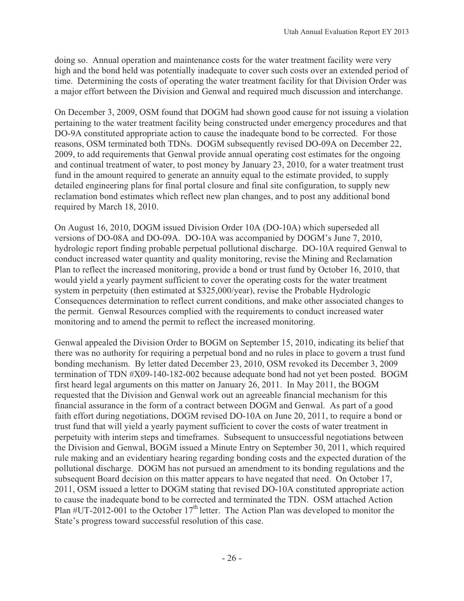doing so. Annual operation and maintenance costs for the water treatment facility were very high and the bond held was potentially inadequate to cover such costs over an extended period of time. Determining the costs of operating the water treatment facility for that Division Order was a major effort between the Division and Genwal and required much discussion and interchange.

On December 3, 2009, OSM found that DOGM had shown good cause for not issuing a violation pertaining to the water treatment facility being constructed under emergency procedures and that DO-9A constituted appropriate action to cause the inadequate bond to be corrected. For those reasons, OSM terminated both TDNs. DOGM subsequently revised DO-09A on December 22, 2009, to add requirements that Genwal provide annual operating cost estimates for the ongoing and continual treatment of water, to post money by January 23, 2010, for a water treatment trust fund in the amount required to generate an annuity equal to the estimate provided, to supply detailed engineering plans for final portal closure and final site configuration, to supply new reclamation bond estimates which reflect new plan changes, and to post any additional bond required by March 18, 2010.

On August 16, 2010, DOGM issued Division Order 10A (DO-10A) which superseded all versions of DO-08A and DO-09A. DO-10A was accompanied by DOGM's June 7, 2010, hydrologic report finding probable perpetual pollutional discharge. DO-10A required Genwal to conduct increased water quantity and quality monitoring, revise the Mining and Reclamation Plan to reflect the increased monitoring, provide a bond or trust fund by October 16, 2010, that would yield a yearly payment sufficient to cover the operating costs for the water treatment system in perpetuity (then estimated at \$325,000/year), revise the Probable Hydrologic Consequences determination to reflect current conditions, and make other associated changes to the permit. Genwal Resources complied with the requirements to conduct increased water monitoring and to amend the permit to reflect the increased monitoring.

Genwal appealed the Division Order to BOGM on September 15, 2010, indicating its belief that there was no authority for requiring a perpetual bond and no rules in place to govern a trust fund bonding mechanism. By letter dated December 23, 2010, OSM revoked its December 3, 2009 termination of TDN #X09-140-182-002 because adequate bond had not yet been posted. BOGM first heard legal arguments on this matter on January 26, 2011. In May 2011, the BOGM requested that the Division and Genwal work out an agreeable financial mechanism for this financial assurance in the form of a contract between DOGM and Genwal. As part of a good faith effort during negotiations, DOGM revised DO-10A on June 20, 2011, to require a bond or trust fund that will yield a yearly payment sufficient to cover the costs of water treatment in perpetuity with interim steps and timeframes. Subsequent to unsuccessful negotiations between the Division and Genwal, BOGM issued a Minute Entry on September 30, 2011, which required rule making and an evidentiary hearing regarding bonding costs and the expected duration of the pollutional discharge. DOGM has not pursued an amendment to its bonding regulations and the subsequent Board decision on this matter appears to have negated that need. On October 17, 2011, OSM issued a letter to DOGM stating that revised DO-10A constituted appropriate action to cause the inadequate bond to be corrected and terminated the TDN. OSM attached Action Plan  $\#UT-2012-001$  to the October 17<sup>th</sup> letter. The Action Plan was developed to monitor the State's progress toward successful resolution of this case.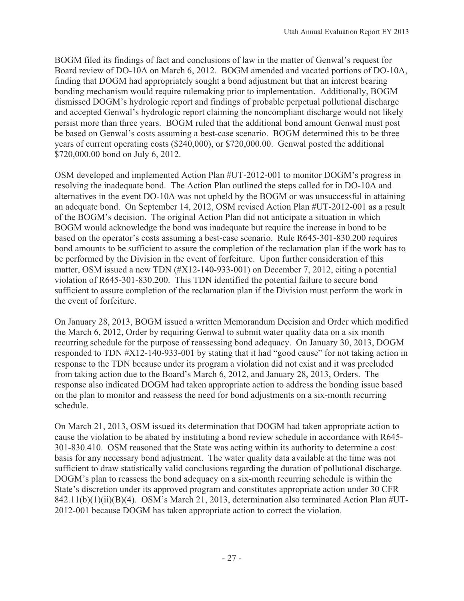BOGM filed its findings of fact and conclusions of law in the matter of Genwal's request for Board review of DO-10A on March 6, 2012. BOGM amended and vacated portions of DO-10A, finding that DOGM had appropriately sought a bond adjustment but that an interest bearing bonding mechanism would require rulemaking prior to implementation. Additionally, BOGM dismissed DOGM's hydrologic report and findings of probable perpetual pollutional discharge and accepted Genwal's hydrologic report claiming the noncompliant discharge would not likely persist more than three years. BOGM ruled that the additional bond amount Genwal must post be based on Genwal's costs assuming a best-case scenario. BOGM determined this to be three years of current operating costs (\$240,000), or \$720,000.00. Genwal posted the additional \$720,000.00 bond on July 6, 2012.

OSM developed and implemented Action Plan #UT-2012-001 to monitor DOGM's progress in resolving the inadequate bond. The Action Plan outlined the steps called for in DO-10A and alternatives in the event DO-10A was not upheld by the BOGM or was unsuccessful in attaining an adequate bond. On September 14, 2012, OSM revised Action Plan #UT-2012-001 as a result of the BOGM's decision. The original Action Plan did not anticipate a situation in which BOGM would acknowledge the bond was inadequate but require the increase in bond to be based on the operator's costs assuming a best-case scenario. Rule R645-301-830.200 requires bond amounts to be sufficient to assure the completion of the reclamation plan if the work has to be performed by the Division in the event of forfeiture. Upon further consideration of this matter, OSM issued a new TDN (#X12-140-933-001) on December 7, 2012, citing a potential violation of R645-301-830.200. This TDN identified the potential failure to secure bond sufficient to assure completion of the reclamation plan if the Division must perform the work in the event of forfeiture.

On January 28, 2013, BOGM issued a written Memorandum Decision and Order which modified the March 6, 2012, Order by requiring Genwal to submit water quality data on a six month recurring schedule for the purpose of reassessing bond adequacy. On January 30, 2013, DOGM responded to TDN #X12-140-933-001 by stating that it had "good cause" for not taking action in response to the TDN because under its program a violation did not exist and it was precluded from taking action due to the Board's March 6, 2012, and January 28, 2013, Orders. The response also indicated DOGM had taken appropriate action to address the bonding issue based on the plan to monitor and reassess the need for bond adjustments on a six-month recurring schedule.

On March 21, 2013, OSM issued its determination that DOGM had taken appropriate action to cause the violation to be abated by instituting a bond review schedule in accordance with R645- 301-830.410. OSM reasoned that the State was acting within its authority to determine a cost basis for any necessary bond adjustment. The water quality data available at the time was not sufficient to draw statistically valid conclusions regarding the duration of pollutional discharge. DOGM's plan to reassess the bond adequacy on a six-month recurring schedule is within the State's discretion under its approved program and constitutes appropriate action under 30 CFR 842.11(b)(1)(ii)(B)(4). OSM's March 21, 2013, determination also terminated Action Plan #UT-2012-001 because DOGM has taken appropriate action to correct the violation.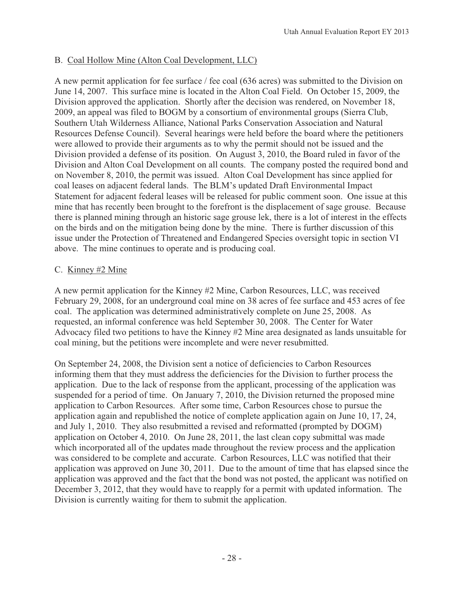## B. Coal Hollow Mine (Alton Coal Development, LLC)

A new permit application for fee surface / fee coal (636 acres) was submitted to the Division on June 14, 2007. This surface mine is located in the Alton Coal Field. On October 15, 2009, the Division approved the application. Shortly after the decision was rendered, on November 18, 2009, an appeal was filed to BOGM by a consortium of environmental groups (Sierra Club, Southern Utah Wilderness Alliance, National Parks Conservation Association and Natural Resources Defense Council). Several hearings were held before the board where the petitioners were allowed to provide their arguments as to why the permit should not be issued and the Division provided a defense of its position. On August 3, 2010, the Board ruled in favor of the Division and Alton Coal Development on all counts. The company posted the required bond and on November 8, 2010, the permit was issued. Alton Coal Development has since applied for coal leases on adjacent federal lands. The BLM's updated Draft Environmental Impact Statement for adjacent federal leases will be released for public comment soon. One issue at this mine that has recently been brought to the forefront is the displacement of sage grouse. Because there is planned mining through an historic sage grouse lek, there is a lot of interest in the effects on the birds and on the mitigation being done by the mine. There is further discussion of this issue under the Protection of Threatened and Endangered Species oversight topic in section VI above. The mine continues to operate and is producing coal.

#### C. Kinney #2 Mine

A new permit application for the Kinney #2 Mine, Carbon Resources, LLC, was received February 29, 2008, for an underground coal mine on 38 acres of fee surface and 453 acres of fee coal. The application was determined administratively complete on June 25, 2008. As requested, an informal conference was held September 30, 2008. The Center for Water Advocacy filed two petitions to have the Kinney #2 Mine area designated as lands unsuitable for coal mining, but the petitions were incomplete and were never resubmitted.

On September 24, 2008, the Division sent a notice of deficiencies to Carbon Resources informing them that they must address the deficiencies for the Division to further process the application. Due to the lack of response from the applicant, processing of the application was suspended for a period of time. On January 7, 2010, the Division returned the proposed mine application to Carbon Resources. After some time, Carbon Resources chose to pursue the application again and republished the notice of complete application again on June 10, 17, 24, and July 1, 2010. They also resubmitted a revised and reformatted (prompted by DOGM) application on October 4, 2010. On June 28, 2011, the last clean copy submittal was made which incorporated all of the updates made throughout the review process and the application was considered to be complete and accurate. Carbon Resources, LLC was notified that their application was approved on June 30, 2011. Due to the amount of time that has elapsed since the application was approved and the fact that the bond was not posted, the applicant was notified on December 3, 2012, that they would have to reapply for a permit with updated information. The Division is currently waiting for them to submit the application.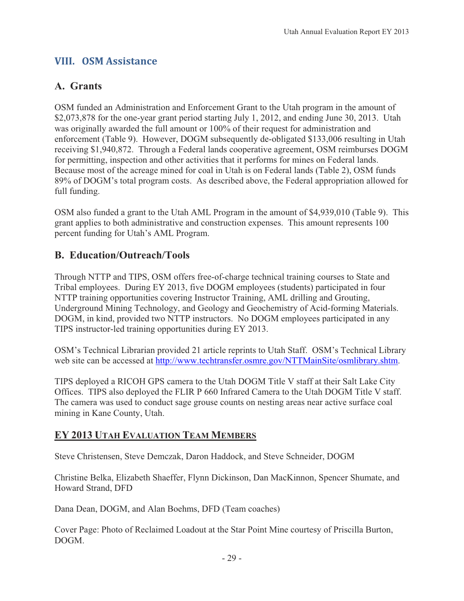# **VIII.---OSM-Assistance**

# **A. Grants**

OSM funded an Administration and Enforcement Grant to the Utah program in the amount of \$2,073,878 for the one-year grant period starting July 1, 2012, and ending June 30, 2013. Utah was originally awarded the full amount or 100% of their request for administration and enforcement (Table 9). However, DOGM subsequently de-obligated \$133,006 resulting in Utah receiving \$1,940,872. Through a Federal lands cooperative agreement, OSM reimburses DOGM for permitting, inspection and other activities that it performs for mines on Federal lands. Because most of the acreage mined for coal in Utah is on Federal lands (Table 2), OSM funds 89% of DOGM's total program costs. As described above, the Federal appropriation allowed for full funding.

OSM also funded a grant to the Utah AML Program in the amount of \$4,939,010 (Table 9). This grant applies to both administrative and construction expenses. This amount represents 100 percent funding for Utah's AML Program.

# **B. Education/Outreach/Tools**

Through NTTP and TIPS, OSM offers free-of-charge technical training courses to State and Tribal employees. During EY 2013, five DOGM employees (students) participated in four NTTP training opportunities covering Instructor Training, AML drilling and Grouting, Underground Mining Technology, and Geology and Geochemistry of Acid-forming Materials. DOGM, in kind, provided two NTTP instructors. No DOGM employees participated in any TIPS instructor-led training opportunities during EY 2013.

OSM's Technical Librarian provided 21 article reprints to Utah Staff. OSM's Technical Library web site can be accessed at http://www.techtransfer.osmre.gov/NTTMainSite/osmlibrary.shtm.

TIPS deployed a RICOH GPS camera to the Utah DOGM Title V staff at their Salt Lake City Offices. TIPS also deployed the FLIR P 660 Infrared Camera to the Utah DOGM Title V staff. The camera was used to conduct sage grouse counts on nesting areas near active surface coal mining in Kane County, Utah.

# **EY 2013 UTAH EVALUATION TEAM MEMBERS**

Steve Christensen, Steve Demczak, Daron Haddock, and Steve Schneider, DOGM

Christine Belka, Elizabeth Shaeffer, Flynn Dickinson, Dan MacKinnon, Spencer Shumate, and Howard Strand, DFD

Dana Dean, DOGM, and Alan Boehms, DFD (Team coaches)

Cover Page: Photo of Reclaimed Loadout at the Star Point Mine courtesy of Priscilla Burton, DOGM.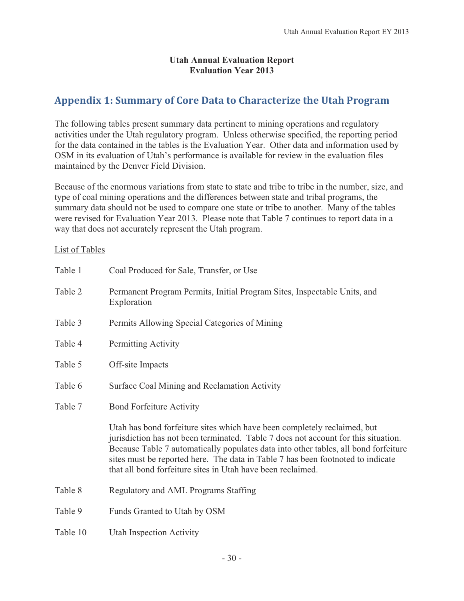#### **Utah Annual Evaluation Report Evaluation Year 2013**

# **Appendix 1: Summary of Core Data to Characterize the Utah Program**

The following tables present summary data pertinent to mining operations and regulatory activities under the Utah regulatory program. Unless otherwise specified, the reporting period for the data contained in the tables is the Evaluation Year. Other data and information used by OSM in its evaluation of Utah's performance is available for review in the evaluation files maintained by the Denver Field Division.

Because of the enormous variations from state to state and tribe to tribe in the number, size, and type of coal mining operations and the differences between state and tribal programs, the summary data should not be used to compare one state or tribe to another. Many of the tables were revised for Evaluation Year 2013. Please note that Table 7 continues to report data in a way that does not accurately represent the Utah program.

#### List of Tables

| Table 1  | Coal Produced for Sale, Transfer, or Use                                                                                                                                                                                                                                                                                                                                                                |
|----------|---------------------------------------------------------------------------------------------------------------------------------------------------------------------------------------------------------------------------------------------------------------------------------------------------------------------------------------------------------------------------------------------------------|
| Table 2  | Permanent Program Permits, Initial Program Sites, Inspectable Units, and<br>Exploration                                                                                                                                                                                                                                                                                                                 |
| Table 3  | Permits Allowing Special Categories of Mining                                                                                                                                                                                                                                                                                                                                                           |
| Table 4  | Permitting Activity                                                                                                                                                                                                                                                                                                                                                                                     |
| Table 5  | Off-site Impacts                                                                                                                                                                                                                                                                                                                                                                                        |
| Table 6  | Surface Coal Mining and Reclamation Activity                                                                                                                                                                                                                                                                                                                                                            |
| Table 7  | <b>Bond Forfeiture Activity</b>                                                                                                                                                                                                                                                                                                                                                                         |
|          | Utah has bond forfeiture sites which have been completely reclaimed, but<br>jurisdiction has not been terminated. Table 7 does not account for this situation.<br>Because Table 7 automatically populates data into other tables, all bond forfeiture<br>sites must be reported here. The data in Table 7 has been footnoted to indicate<br>that all bond forfeiture sites in Utah have been reclaimed. |
| Table 8  | Regulatory and AML Programs Staffing                                                                                                                                                                                                                                                                                                                                                                    |
| Table 9  | Funds Granted to Utah by OSM                                                                                                                                                                                                                                                                                                                                                                            |
| Table 10 | Utah Inspection Activity                                                                                                                                                                                                                                                                                                                                                                                |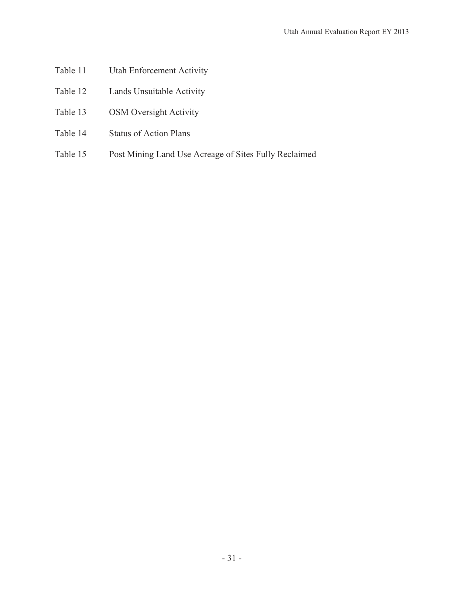- Table 11 Utah Enforcement Activity
- Table 12 Lands Unsuitable Activity
- Table 13 OSM Oversight Activity
- Table 14 Status of Action Plans
- Table 15 Post Mining Land Use Acreage of Sites Fully Reclaimed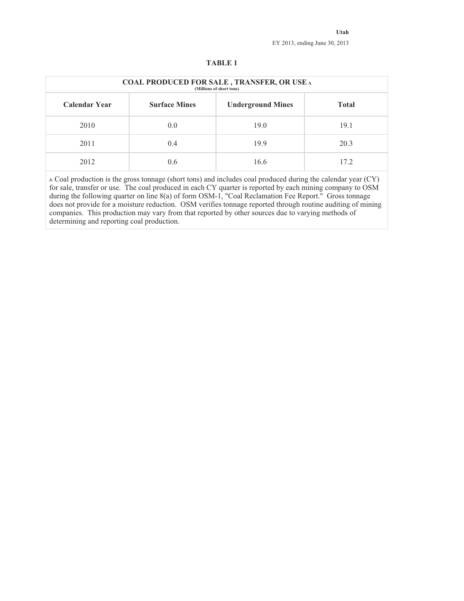|                      | <b>COAL PRODUCED FOR SALE, TRANSFER, OR USE A</b><br>(Millions of short tons) |                          |              |  |  |  |  |  |  |  |  |
|----------------------|-------------------------------------------------------------------------------|--------------------------|--------------|--|--|--|--|--|--|--|--|
| <b>Calendar Year</b> | <b>Surface Mines</b>                                                          | <b>Underground Mines</b> | <b>Total</b> |  |  |  |  |  |  |  |  |
| 2010                 | 0.0                                                                           | 19.0                     | 19.1         |  |  |  |  |  |  |  |  |
| 2011                 | 0.4                                                                           | 19.9                     | 20.3         |  |  |  |  |  |  |  |  |
| 2012                 | $0.6^{\circ}$                                                                 | 16.6                     | 17.2         |  |  |  |  |  |  |  |  |

#### **TABLE 1**

<sup>A</sup> Coal production is the gross tonnage (short tons) and includes coal produced during the calendar year (CY) for sale, transfer or use. The coal produced in each CY quarter is reported by each mining company to OSM during the following quarter on line 8(a) of form OSM-1, "Coal Reclamation Fee Report." Gross tonnage does not provide for a moisture reduction. OSM verifies tonnage reported through routine auditing of mining companies. This production may vary from that reported by other sources due to varying methods of determining and reporting coal production.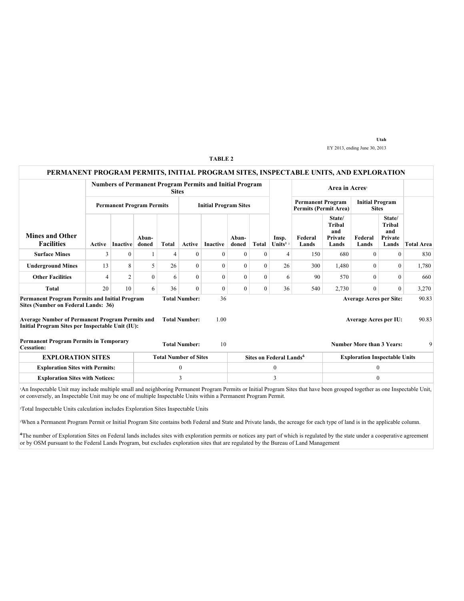#### **PERMANENT PROGRAM PERMITS, INITIAL PROGRAM SITES, INSPECTABLE UNITS, AND EXPLORATION Numbers of Permanent Program Permits and Initial Program**  $\qquad$  **Area in Acres<sup>3</sup> Permanent Program Permits** Initial Program Sites **Permanent Program Permits (Permit Area) Initial Program Sites Mines and Other Facilities Active** Inactive **Abandoned Total Active Inactive Abandoned Total Insp.** Units<sup>1</sup><sup>2</sup> **Federal Lands State/ Tribal and Private Lands Federal Lands State/ Tribal and Private Total Area Surface Mines** 3 0 1 4 0 0 0 0 4 150 680 0 0 830 **Underground Mines** 13 8 5 26 0 0 0 26 300 1,480 0 0 1,780 **Other Facilities** | 4 2 0 6 0 0 0 0 6 90 570 0 0 660 **Total** 20 10 6 36 0 0 0 0 36 540 2,730 0 0 3,270 **Permanent Program Permits and Initial Program Sites (Number on Federal Lands: 36) Total Number:** 36 36 **Average Acres per Site:** 90.83 **Average Number of Permanent Program Permits and Initial Program Sites per Inspectable Unit (IU): Total Number:** 1.00 **Average Acres per IU:** 90.83 **Permanent Program Permits in Temporary Cessation: CESS CESS CESS CESS CESS CESS CESS CESS CESS CESS CESS CESS CESS CESS CESS CESS CESS CESS CESS CESS CESS CESS CESS CESS CESS CESS CESS CESS CESS CESS EXPLORATION SITES** Total Number of Sites Sites on Federal Lands<sup>4</sup> Exploration Inspectable Units **Exploration Sites with Permits:**  $\begin{array}{ccc} 0 & 0 & 0 \\ 0 & 0 & 0 \end{array}$ **Exploration Sites with Notices:**  $\begin{array}{ccc} 3 & 3 & 3 \\ 1 & 3 & 3 \end{array}$  0

An Inspectable Unit may include multiple small and neighboring Permanent Program Permits or Initial Program Sites that have been grouped together as one Inspectable Unit, or conversely, an Inspectable Unit may be one of multiple Inspectable Units within a Permanent Program Permit.

²Total Inspectable Units calculation includes Exploration Sites Inspectable Units

³When a Permanent Program Permit or Initial Program Site contains both Federal and State and Private lands, the acreage for each type of land is in the applicable column.

<sup>4</sup>The number of Exploration Sites on Federal lands includes sites with exploration permits or notices any part of which is regulated by the state under a cooperative agreement or by OSM pursuant to the Federal Lands Program, but excludes exploration sites that are regulated by the Bureau of Land Management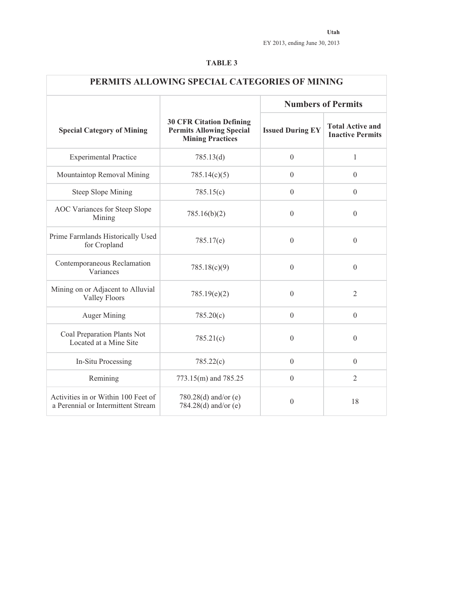| PERMITS ALLOWING SPECIAL CATEGORIES OF MINING                             |                                                                                               |                           |                                                    |  |  |  |  |  |  |
|---------------------------------------------------------------------------|-----------------------------------------------------------------------------------------------|---------------------------|----------------------------------------------------|--|--|--|--|--|--|
|                                                                           |                                                                                               | <b>Numbers of Permits</b> |                                                    |  |  |  |  |  |  |
| <b>Special Category of Mining</b>                                         | <b>30 CFR Citation Defining</b><br><b>Permits Allowing Special</b><br><b>Mining Practices</b> | <b>Issued During EY</b>   | <b>Total Active and</b><br><b>Inactive Permits</b> |  |  |  |  |  |  |
| <b>Experimental Practice</b>                                              | 785.13(d)                                                                                     | $\overline{0}$            | $\mathbf{1}$                                       |  |  |  |  |  |  |
| Mountaintop Removal Mining                                                | 785.14(c)(5)                                                                                  | $\theta$                  | $\theta$                                           |  |  |  |  |  |  |
| <b>Steep Slope Mining</b>                                                 | 785.15(c)                                                                                     | $\boldsymbol{0}$          | $\boldsymbol{0}$                                   |  |  |  |  |  |  |
| AOC Variances for Steep Slope<br>Mining                                   | 785.16(b)(2)                                                                                  | $\theta$                  | $\theta$                                           |  |  |  |  |  |  |
| Prime Farmlands Historically Used<br>for Cropland                         | 785.17(e)                                                                                     | $\overline{0}$            | $\theta$                                           |  |  |  |  |  |  |
| Contemporaneous Reclamation<br>Variances                                  | 785.18(c)(9)                                                                                  | $\boldsymbol{0}$          | $\boldsymbol{0}$                                   |  |  |  |  |  |  |
| Mining on or Adjacent to Alluvial<br><b>Valley Floors</b>                 | 785.19(e)(2)                                                                                  | $\overline{0}$            | $\overline{2}$                                     |  |  |  |  |  |  |
| <b>Auger Mining</b>                                                       | 785.20(c)                                                                                     | $\theta$                  | $\theta$                                           |  |  |  |  |  |  |
| Coal Preparation Plants Not<br>Located at a Mine Site                     | 785.21(c)                                                                                     | $\theta$                  | $\theta$                                           |  |  |  |  |  |  |
| In-Situ Processing                                                        | 785.22(c)                                                                                     | $\theta$                  | $\theta$                                           |  |  |  |  |  |  |
| Remining                                                                  | 773.15(m) and 785.25                                                                          | $\theta$                  | $\overline{2}$                                     |  |  |  |  |  |  |
| Activities in or Within 100 Feet of<br>a Perennial or Intermittent Stream | 780.28(d) and/or (e)<br>784.28(d) and/or (e)                                                  | $\mathbf{0}$              | 18                                                 |  |  |  |  |  |  |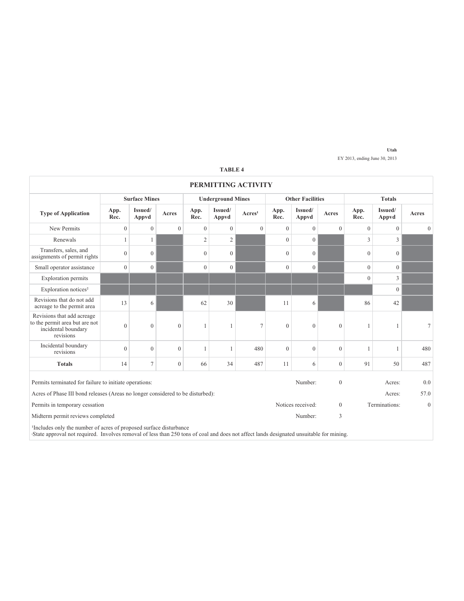| PERMITTING ACTIVITY                                                                                                                                                                                                       |              |                      |              |                |                          |                     |              |                         |                  |                |                  |                 |  |
|---------------------------------------------------------------------------------------------------------------------------------------------------------------------------------------------------------------------------|--------------|----------------------|--------------|----------------|--------------------------|---------------------|--------------|-------------------------|------------------|----------------|------------------|-----------------|--|
|                                                                                                                                                                                                                           |              | <b>Surface Mines</b> |              |                | <b>Underground Mines</b> |                     |              | <b>Other Facilities</b> |                  |                | <b>Totals</b>    |                 |  |
| <b>Type of Application</b>                                                                                                                                                                                                | App.<br>Rec. | Issued/<br>Appvd     | Acres        | App.<br>Rec.   | Issued/<br>Appvd         | Arcres <sup>1</sup> | App.<br>Rec. | Issued/<br>Appvd        | Acres            | App.<br>Rec.   | Issued/<br>Appvd | Acres           |  |
| New Permits                                                                                                                                                                                                               | $\mathbf{0}$ | $\mathbf{0}$         | $\mathbf{0}$ | $\mathbf{0}$   | $\mathbf{0}$             | $\mathbf{0}$        | $\theta$     | $\theta$                | $\theta$         | $\mathbf{0}$   | $\mathbf{0}$     | $\mathbf{0}$    |  |
| Renewals                                                                                                                                                                                                                  |              | 1                    |              | $\overline{2}$ | $\overline{2}$           |                     | $\theta$     | $\mathbf{0}$            |                  | 3              | 3                |                 |  |
| Transfers, sales, and<br>assignments of permit rights                                                                                                                                                                     | $\theta$     | $\overline{0}$       |              | $\mathbf{0}$   | $\mathbf{0}$             |                     | $\theta$     | $\mathbf{0}$            |                  | $\overline{0}$ | $\mathbf{0}$     |                 |  |
| Small operator assistance                                                                                                                                                                                                 | $\mathbf{0}$ | $\boldsymbol{0}$     |              | $\mathbf{0}$   | $\mathbf{0}$             |                     | $\Omega$     | $\mathbf{0}$            |                  | $\theta$       | $\mathbf{0}$     |                 |  |
| <b>Exploration permits</b>                                                                                                                                                                                                |              |                      |              |                |                          |                     |              |                         |                  | $\theta$       | 3                |                 |  |
| Exploration notices <sup>2</sup>                                                                                                                                                                                          |              |                      |              |                |                          |                     |              |                         |                  |                | $\mathbf{0}$     |                 |  |
| Revisions that do not add<br>acreage to the permit area                                                                                                                                                                   | 13           | 6                    |              | 62             | 30                       |                     | 11           | 6                       |                  | 86             | 42               |                 |  |
| Revisions that add acreage<br>to the permit area but are not<br>incidental boundary<br>revisions                                                                                                                          | $\mathbf{0}$ | $\mathbf{0}$         | $\theta$     | 1              | 1                        | 7                   | $\mathbf{0}$ | $\mathbf{0}$            | $\mathbf{0}$     | 1              | 1                | $7\phantom{.0}$ |  |
| Incidental boundary<br>revisions                                                                                                                                                                                          | $\Omega$     | $\mathbf{0}$         | $\Omega$     | $\mathbf{1}$   | $\mathbf{1}$             | 480                 | $\theta$     | $\theta$                | $\theta$         |                | 1                | 480             |  |
| <b>Totals</b>                                                                                                                                                                                                             | 14           | $\overline{7}$       | $\mathbf{0}$ | 66             | 34                       | 487                 | 11           | 6                       | $\overline{0}$   | 91             | 50               | 487             |  |
| Permits terminated for failure to initiate operations:                                                                                                                                                                    |              |                      |              |                |                          |                     |              | Number:                 | $\boldsymbol{0}$ |                | Acres:           | 0.0             |  |
| Acres of Phase III bond releases (Areas no longer considered to be disturbed):                                                                                                                                            |              |                      |              |                |                          |                     |              |                         |                  |                | Acres:           | 57.0            |  |
| Permits in temporary cessation                                                                                                                                                                                            |              |                      |              |                |                          |                     |              | Notices received:       | $\Omega$         |                | Terminations:    | $\mathbf{0}$    |  |
| Midterm permit reviews completed                                                                                                                                                                                          |              |                      |              |                |                          |                     |              | Number:                 | 3                |                |                  |                 |  |
| <sup>1</sup> Includes only the number of acres of proposed surface disturbance<br>State approval not required. Involves removal of less than 250 tons of coal and does not affect lands designated unsuitable for mining. |              |                      |              |                |                          |                     |              |                         |                  |                |                  |                 |  |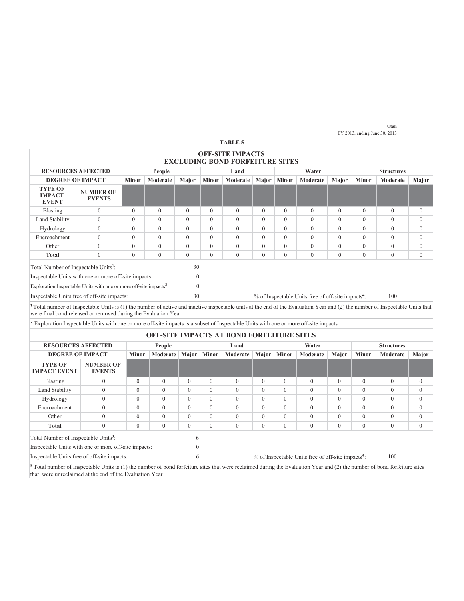|                                                                                                                                                                                                                                                            |                                   |              |                                                  |              |              | <b>TABLE 5</b>                                                    |                |              |                                                                |              |                |                   |                |
|------------------------------------------------------------------------------------------------------------------------------------------------------------------------------------------------------------------------------------------------------------|-----------------------------------|--------------|--------------------------------------------------|--------------|--------------|-------------------------------------------------------------------|----------------|--------------|----------------------------------------------------------------|--------------|----------------|-------------------|----------------|
|                                                                                                                                                                                                                                                            |                                   |              |                                                  |              |              | <b>OFF-SITE IMPACTS</b><br><b>EXCLUDING BOND FORFEITURE SITES</b> |                |              |                                                                |              |                |                   |                |
| <b>RESOURCES AFFECTED</b>                                                                                                                                                                                                                                  |                                   |              | People                                           |              |              | Land                                                              |                |              | Water                                                          |              |                | <b>Structures</b> |                |
| <b>DEGREE OF IMPACT</b>                                                                                                                                                                                                                                    |                                   | <b>Minor</b> | Moderate                                         | Major        | <b>Minor</b> | Moderate                                                          | Major          | <b>Minor</b> | Moderate                                                       | Major        | <b>Minor</b>   | Moderate          | Major          |
| <b>TYPE OF</b><br><b>IMPACT</b><br><b>EVENT</b>                                                                                                                                                                                                            | <b>NUMBER OF</b><br><b>EVENTS</b> |              |                                                  |              |              |                                                                   |                |              |                                                                |              |                |                   |                |
| Blasting                                                                                                                                                                                                                                                   | $\overline{0}$                    | $\theta$     | $\mathbf{0}$                                     | $\Omega$     | $\Omega$     | $\mathbf{0}$                                                      | $\Omega$       | $\theta$     | $\mathbf{0}$                                                   | $\theta$     | $\mathbf{0}$   | $\Omega$          | $\overline{0}$ |
| Land Stability                                                                                                                                                                                                                                             | $\overline{0}$                    | $\theta$     | $\mathbf{0}$                                     | $\theta$     | $\theta$     | $\mathbf{0}$                                                      | $\Omega$       | $\theta$     | $\mathbf{0}$                                                   | $\theta$     | $\mathbf{0}$   | $\mathbf{0}$      | $\mathbf{0}$   |
| Hydrology                                                                                                                                                                                                                                                  | $\overline{0}$                    | $\theta$     | $\mathbf{0}$                                     | $\theta$     | $\theta$     | $\mathbf{0}$                                                      | $\Omega$       | $\theta$     | $\mathbf{0}$                                                   | $\theta$     | $\mathbf{0}$   | $\theta$          | $\mathbf{0}$   |
| Encroachment                                                                                                                                                                                                                                               | $\overline{0}$                    | $\theta$     | $\theta$                                         | $\theta$     | $\Omega$     | $\theta$                                                          | $\theta$       | $\theta$     | $\mathbf{0}$                                                   | $\theta$     | $\theta$       | $\theta$          | $\mathbf{0}$   |
| Other                                                                                                                                                                                                                                                      | $\overline{0}$                    | $\theta$     | $\theta$                                         | $\theta$     | $\theta$     | $\theta$                                                          | $\theta$       | $\theta$     | $\theta$                                                       | $\theta$     | $\theta$       | $\theta$          | $\mathbf{0}$   |
| <b>Total</b>                                                                                                                                                                                                                                               | $\overline{0}$                    | $\theta$     | $\theta$                                         | $\theta$     | $\theta$     | $\theta$                                                          | $\theta$       | $\theta$     | $\theta$                                                       | $\theta$     | $\theta$       | $\theta$          | $\theta$       |
| 30<br>Total Number of Inspectable Units <sup>1</sup> :                                                                                                                                                                                                     |                                   |              |                                                  |              |              |                                                                   |                |              |                                                                |              |                |                   |                |
| Inspectable Units with one or more off-site impacts:                                                                                                                                                                                                       |                                   |              |                                                  | $\Omega$     |              |                                                                   |                |              |                                                                |              |                |                   |                |
| Exploration Inspectable Units with one or more off-site impacts <sup>2</sup> :                                                                                                                                                                             |                                   |              |                                                  | $\Omega$     |              |                                                                   |                |              |                                                                |              |                |                   |                |
| Inspectable Units free of off-site impacts:                                                                                                                                                                                                                |                                   |              |                                                  | 30           |              |                                                                   |                |              | % of Inspectable Units free of off-site impacts <sup>4</sup> : |              |                | 100               |                |
| <sup>1</sup> Total number of Inspectable Units is (1) the number of active and inactive inspectable units at the end of the Evaluation Year and (2) the number of Inspectable Units that<br>were final bond released or removed during the Evaluation Year |                                   |              |                                                  |              |              |                                                                   |                |              |                                                                |              |                |                   |                |
| <sup>2</sup> Exploration Inspectable Units with one or more off-site impacts is a subset of Inspectable Units with one or more off-site impacts                                                                                                            |                                   |              |                                                  |              |              |                                                                   |                |              |                                                                |              |                |                   |                |
|                                                                                                                                                                                                                                                            |                                   |              | <b>OFF-SITE IMPACTS AT BOND FORFEITURE SITES</b> |              |              |                                                                   |                |              |                                                                |              |                |                   |                |
| <b>RESOURCES AFFECTED</b>                                                                                                                                                                                                                                  |                                   |              | People                                           |              |              | Land                                                              |                |              | Water                                                          |              |                | <b>Structures</b> |                |
| <b>DEGREE OF IMPACT</b>                                                                                                                                                                                                                                    |                                   | <b>Minor</b> | Moderate                                         | Major        | <b>Minor</b> | Moderate                                                          | Major          | <b>Minor</b> | Moderate                                                       | Major        | <b>Minor</b>   | Moderate          | Major          |
| <b>TYPE OF</b><br><b>IMPACT EVENT</b>                                                                                                                                                                                                                      | <b>NUMBER OF</b><br><b>EVENTS</b> |              |                                                  |              |              |                                                                   |                |              |                                                                |              |                |                   |                |
| Blasting                                                                                                                                                                                                                                                   | $\overline{0}$                    | $\mathbf{0}$ | $\overline{0}$                                   | $\mathbf{0}$ | $\mathbf{0}$ | $\mathbf{0}$                                                      | $\overline{0}$ | $\mathbf{0}$ | $\overline{0}$                                                 | $\mathbf{0}$ | $\mathbf{0}$   | $\mathbf{0}$      | $\mathbf{0}$   |
| Land Stability                                                                                                                                                                                                                                             | $\Omega$                          | $\mathbf{0}$ | $\theta$                                         | $\theta$     | $\Omega$     | $\mathbf{0}$                                                      | $\Omega$       | $\Omega$     | $\overline{0}$                                                 | $\theta$     | $\theta$       | $\Omega$          | $\mathbf{0}$   |
| Hydrology                                                                                                                                                                                                                                                  | $\Omega$                          | $\mathbf{0}$ | $\theta$                                         | $\theta$     | $\Omega$     | $\mathbf{0}$                                                      | $\Omega$       | $\Omega$     | $\overline{0}$                                                 | $\theta$     | $\overline{0}$ | $\overline{0}$    | $\mathbf{0}$   |
| Encroachment                                                                                                                                                                                                                                               | $\theta$                          | $\mathbf{0}$ | $\theta$                                         | $\theta$     | $\Omega$     | $\theta$                                                          | $\theta$       | $\theta$     | $\overline{0}$                                                 | $\theta$     | $\overline{0}$ | $\overline{0}$    | $\mathbf{0}$   |
| Other                                                                                                                                                                                                                                                      | $\overline{0}$                    | $\theta$     | $\theta$                                         | $\theta$     | $\Omega$     | $\theta$                                                          | $\theta$       | $\theta$     | $\overline{0}$                                                 | $\theta$     | $\overline{0}$ | $\theta$          | $\mathbf{0}$   |
| <b>Total</b>                                                                                                                                                                                                                                               | $\Omega$                          | $\theta$     | $\theta$                                         | $\Omega$     | $\Omega$     | $\theta$                                                          | $\Omega$       | $\Omega$     | $\theta$                                                       | $\theta$     | $\overline{0}$ | $\Omega$          | $\theta$       |
| Total Number of Inspectable Units <sup>3</sup> :                                                                                                                                                                                                           |                                   |              |                                                  | 6            |              |                                                                   |                |              |                                                                |              |                |                   |                |

<sup>3</sup> Total number of Inspectable Units is (1) the number of bond forfeiture sites that were reclaimed during the Evaluation Year and (2) the number of bond forfeiture sites that were unreclaimed at the end of the Evaluation Year

Inspectable Units free of off-site impacts: 6 % of Inspectable Units free of off-site impacts<sup>4</sup>: 100

Inspectable Units with one or more off-site impacts: 0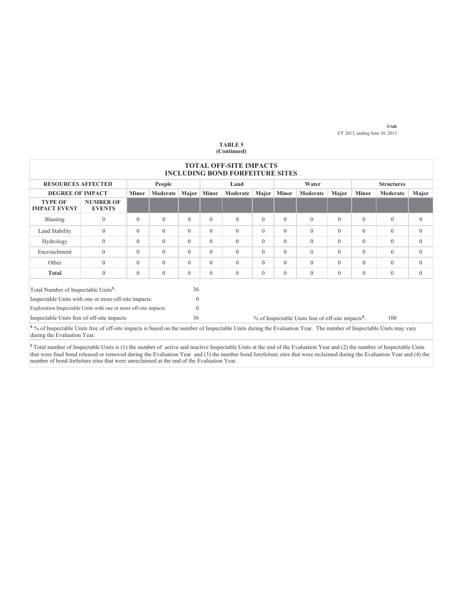|                                                                                                                                                                                                              |                                   |              |          |                            |              | <b>TOTAL OFF-SITE IMPACTS</b><br><b>INCLUDING BOND FORFEITURE SITES</b> |          |              |                                                                |          |              |              |              |
|--------------------------------------------------------------------------------------------------------------------------------------------------------------------------------------------------------------|-----------------------------------|--------------|----------|----------------------------|--------------|-------------------------------------------------------------------------|----------|--------------|----------------------------------------------------------------|----------|--------------|--------------|--------------|
| <b>RESOURCES AFFECTED</b><br>Water<br>People<br><b>Structures</b><br>Land                                                                                                                                    |                                   |              |          |                            |              |                                                                         |          |              |                                                                |          |              |              |              |
| <b>DEGREE OF IMPACT</b>                                                                                                                                                                                      |                                   | <b>Minor</b> | Moderate | Major                      | <b>Minor</b> | Moderate                                                                | Major    | <b>Minor</b> | Moderate                                                       | Major    | <b>Minor</b> | Moderate     | Major        |
| <b>TYPE OF</b><br><b>IMPACT EVENT</b>                                                                                                                                                                        | <b>NUMBER OF</b><br><b>EVENTS</b> |              |          |                            |              |                                                                         |          |              |                                                                |          |              |              |              |
| <b>Blasting</b>                                                                                                                                                                                              | $\theta$                          | $\Omega$     | $\Omega$ | $\theta$                   | $\Omega$     | $\Omega$                                                                | $\Omega$ | $\mathbf{0}$ | $\overline{0}$                                                 | $\theta$ | $\Omega$     | $\mathbf{0}$ | $\mathbf{0}$ |
| Land Stability                                                                                                                                                                                               | $\theta$                          | $\Omega$     | $\Omega$ | $\Omega$                   | $\Omega$     | $\Omega$                                                                | $\Omega$ | $\Omega$     | $\Omega$                                                       | $\theta$ | $\Omega$     | $\theta$     | $\theta$     |
| Hydrology                                                                                                                                                                                                    | $\theta$                          | $\Omega$     | $\Omega$ | $\Omega$                   | $\Omega$     | $\Omega$                                                                | $\Omega$ | $\Omega$     | $\Omega$                                                       | $\Omega$ | $\Omega$     | $\theta$     | $\theta$     |
| Encroachment                                                                                                                                                                                                 | $\mathbf{0}$                      | $\Omega$     | $\Omega$ | $\theta$                   | $\theta$     | $\Omega$                                                                | $\Omega$ | $\Omega$     | $\Omega$                                                       | $\theta$ | $\Omega$     | $\theta$     | $\mathbf{0}$ |
| Other                                                                                                                                                                                                        | $\theta$                          | $\Omega$     | $\Omega$ | $\theta$                   | $\theta$     | $\Omega$                                                                | $\Omega$ | $\Omega$     | $\overline{0}$                                                 | $\theta$ | $\Omega$     | $\theta$     | $\mathbf{0}$ |
| <b>Total</b>                                                                                                                                                                                                 | $\theta$                          | $\Omega$     | $\Omega$ | $\theta$                   | $\theta$     | $\Omega$                                                                | $\Omega$ | $\Omega$     | $\overline{0}$                                                 | $\theta$ | $\Omega$     | $\theta$     | $\theta$     |
| Total Number of Inspectable Units <sup>5</sup> :<br>Inspectable Units with one or more off-site impacts:<br>Exploration Inspectable Units with one or more off-site impacts:                                 |                                   |              |          | 36<br>$\Omega$<br>$\Omega$ |              |                                                                         |          |              |                                                                |          |              |              |              |
| Inspectable Units free of off-site impacts:                                                                                                                                                                  |                                   |              |          | 36                         |              |                                                                         |          |              | % of Inspectable Units free of off-site impacts <sup>4</sup> : |          |              | 100          |              |
| <sup>4</sup> % of Inspectable Units free of off-site impacts is based on the number of Inspectable Units during the Evaluation Year. The number of Inspectable Units may vary<br>during the Evaluation Year. |                                   |              |          |                            |              |                                                                         |          |              |                                                                |          |              |              |              |

<sup>5</sup> Total number of Inspectable Units is (1) the number of active and inactive Inspectable Units at the end of the Evaluation Year and (2) the number of Inspectable Units that were final bond released or removed during the Evaluation Year and (3) the number bond forefeiture sites that were reclaimed during the Evaluation Year and (4) the number of bond forfeiture sites that were unreclaimed at the end of the Evaluation Year.

#### **TABLE 5 (Continued)**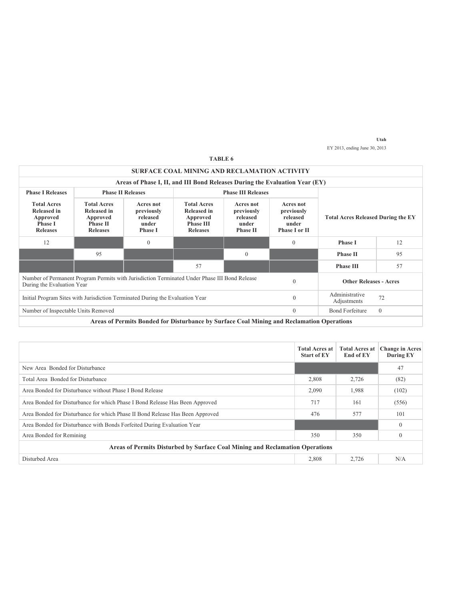|                                                                                                                             |                                                                                            |                                                                                           | SURFACE COAL MINING AND RECLAMATION ACTIVITY                                                |                                                                 |              |                                                                                                                   |              |
|-----------------------------------------------------------------------------------------------------------------------------|--------------------------------------------------------------------------------------------|-------------------------------------------------------------------------------------------|---------------------------------------------------------------------------------------------|-----------------------------------------------------------------|--------------|-------------------------------------------------------------------------------------------------------------------|--------------|
|                                                                                                                             |                                                                                            | Areas of Phase I, II, and III Bond Releases During the Evaluation Year (EY)               |                                                                                             |                                                                 |              |                                                                                                                   |              |
| <b>Phase I Releases</b>                                                                                                     | <b>Phase II Releases</b>                                                                   |                                                                                           |                                                                                             |                                                                 |              |                                                                                                                   |              |
| <b>Total Acres</b><br><b>Released in</b><br>Approved<br><b>Phase I</b><br><b>Releases</b>                                   | <b>Total Acres</b><br><b>Released in</b><br>Approved<br><b>Phase II</b><br><b>Releases</b> | Acres not<br>previously<br>released<br>under<br><b>Phase I</b>                            | <b>Total Acres</b><br><b>Released in</b><br>Approved<br><b>Phase III</b><br><b>Releases</b> | Acres not<br>previously<br>released<br>under<br><b>Phase II</b> |              | Acres not<br>previously<br>released<br><b>Total Acres Released During the EY</b><br>under<br><b>Phase I or II</b> |              |
| 12                                                                                                                          |                                                                                            | $\mathbf{0}$                                                                              |                                                                                             |                                                                 | $\theta$     | <b>Phase I</b><br>12                                                                                              |              |
|                                                                                                                             | 95                                                                                         |                                                                                           |                                                                                             | $\theta$                                                        |              | <b>Phase II</b><br>95                                                                                             |              |
|                                                                                                                             |                                                                                            |                                                                                           | 57                                                                                          |                                                                 |              | <b>Phase III</b>                                                                                                  | 57           |
| Number of Permanent Program Permits with Jurisdiction Terminated Under Phase III Bond Release<br>During the Evaluation Year |                                                                                            |                                                                                           |                                                                                             |                                                                 | $\theta$     | <b>Other Releases - Acres</b>                                                                                     |              |
| $\mathbf{0}$<br>Initial Program Sites with Jurisdiction Terminated During the Evaluation Year                               |                                                                                            |                                                                                           |                                                                                             |                                                                 |              | Administrative<br>Adjustments                                                                                     | 72           |
| Number of Inspectable Units Removed                                                                                         |                                                                                            |                                                                                           |                                                                                             |                                                                 | $\mathbf{0}$ | <b>Bond Forfeiture</b>                                                                                            | $\mathbf{0}$ |
|                                                                                                                             |                                                                                            | Areas of Permits Bonded for Disturbance by Surface Coal Mining and Reclamation Operations |                                                                                             |                                                                 |              |                                                                                                                   |              |

|                                                                               | <b>Total Acres at</b><br><b>Start of EY</b>                                  | <b>Total Acres at</b><br><b>End of EY</b> | <b>Change in Acres</b><br>During EY |  |  |  |  |  |  |  |
|-------------------------------------------------------------------------------|------------------------------------------------------------------------------|-------------------------------------------|-------------------------------------|--|--|--|--|--|--|--|
| New Area Bonded for Disturbance                                               |                                                                              |                                           | 47                                  |  |  |  |  |  |  |  |
| Total Area Bonded for Disturbance                                             | 2,808                                                                        | 2,726                                     | (82)                                |  |  |  |  |  |  |  |
| Area Bonded for Disturbance without Phase I Bond Release                      | 2,090                                                                        | 1,988                                     | (102)                               |  |  |  |  |  |  |  |
| Area Bonded for Disturbance for which Phase I Bond Release Has Been Approved  | 717                                                                          | 161                                       | (556)                               |  |  |  |  |  |  |  |
| Area Bonded for Disturbance for which Phase II Bond Release Has Been Approved | 476                                                                          | 577                                       | 101                                 |  |  |  |  |  |  |  |
| Area Bonded for Disturbance with Bonds Forfeited During Evaluation Year       |                                                                              |                                           | $\mathbf{0}$                        |  |  |  |  |  |  |  |
| Area Bonded for Remining                                                      | 350                                                                          | 350                                       | $\mathbf{0}$                        |  |  |  |  |  |  |  |
|                                                                               | Areas of Permits Disturbed by Surface Coal Mining and Reclamation Operations |                                           |                                     |  |  |  |  |  |  |  |
| Disturbed Area                                                                | 2,808                                                                        | 2,726                                     | N/A                                 |  |  |  |  |  |  |  |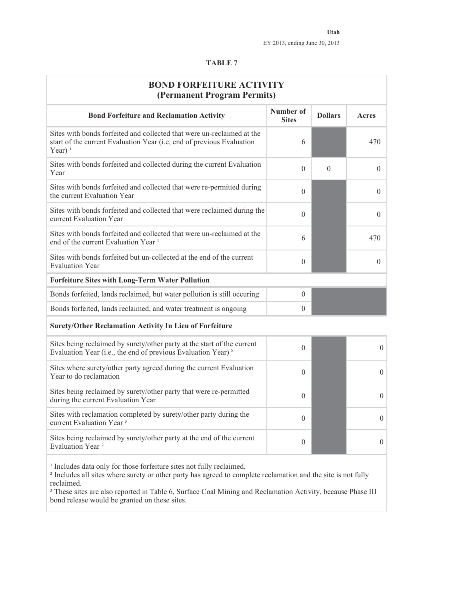|--|--|--|--|

| <b>BOND FORFEITURE ACTIVITY</b><br>(Permanent Program Permits)                                                                                               |                           |                |                  |
|--------------------------------------------------------------------------------------------------------------------------------------------------------------|---------------------------|----------------|------------------|
| <b>Bond Forfeiture and Reclamation Activity</b>                                                                                                              | Number of<br><b>Sites</b> | <b>Dollars</b> | Acres            |
| Sites with bonds forfeited and collected that were un-reclaimed at the<br>start of the current Evaluation Year (i.e, end of previous Evaluation<br>Year) $1$ | 6                         |                | 470              |
| Sites with bonds forfeited and collected during the current Evaluation<br>Year                                                                               | $\theta$                  | $\overline{0}$ | $\theta$         |
| Sites with bonds forfeited and collected that were re-permitted during<br>the current Evaluation Year                                                        | $\Omega$                  |                | $\theta$         |
| Sites with bonds forfeited and collected that were reclaimed during the<br>current Evaluation Year                                                           | $\theta$                  |                | $\theta$         |
| Sites with bonds forfeited and collected that were un-reclaimed at the<br>end of the current Evaluation Year <sup>1</sup>                                    | 6                         |                | 470              |
| Sites with bonds forfeited but un-collected at the end of the current<br><b>Evaluation Year</b>                                                              | $\theta$                  |                | $\theta$         |
| <b>Forfeiture Sites with Long-Term Water Pollution</b>                                                                                                       |                           |                |                  |
| Bonds forfeited, lands reclaimed, but water pollution is still occuring                                                                                      | $\mathbf{0}$              |                |                  |
| Bonds forfeited, lands reclaimed, and water treatment is ongoing                                                                                             | $\theta$                  |                |                  |
| Surety/Other Reclamation Activity In Lieu of Forfeiture                                                                                                      |                           |                |                  |
| Sites being reclaimed by surety/other party at the start of the current<br>Evaluation Year (i.e., the end of previous Evaluation Year) <sup>2</sup>          | $\theta$                  |                | $\theta$         |
| Sites where surety/other party agreed during the current Evaluation<br>Year to do reclamation                                                                | $\Omega$                  |                | $\boldsymbol{0}$ |
| Sites being reclaimed by surety/other party that were re-permitted<br>during the current Evaluation Year                                                     | $\Omega$                  |                | $\theta$         |
| Sites with reclamation completed by surety/other party during the                                                                                            | $\sim$                    |                |                  |

Sites being reclaimed by surety/other party at the end of the current Evaluation Year ² <sup>0</sup> <sup>0</sup>

<sup>1</sup> Includes data only for those forfeiture sites not fully reclaimed.

² Includes all sites where surety or other party has agreed to complete reclamation and the site is not fully reclaimed.

<sup>3</sup> These sites are also reported in Table 6, Surface Coal Mining and Reclamation Activity, because Phase III bond release would be granted on these sites.

Sites with reclamation completed by surety/other party during the  $\begin{array}{ccc} 0 & 0 \\ 0 & 0 \end{array}$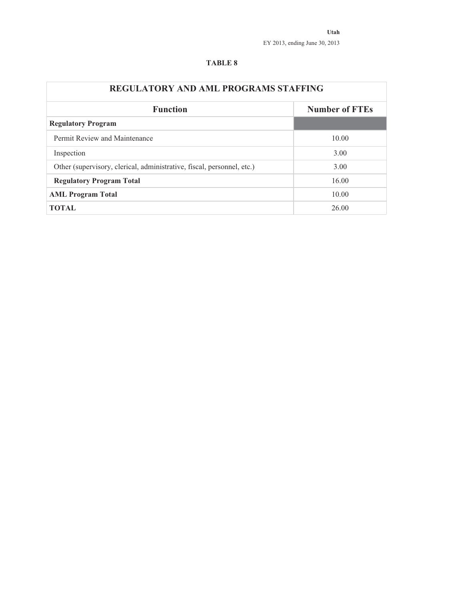| <b>REGULATORY AND AML PROGRAMS STAFFING</b>                            |                       |
|------------------------------------------------------------------------|-----------------------|
| <b>Function</b>                                                        | <b>Number of FTEs</b> |
| <b>Regulatory Program</b>                                              |                       |
| Permit Review and Maintenance                                          | 10.00                 |
| Inspection                                                             | 3.00                  |
| Other (supervisory, clerical, administrative, fiscal, personnel, etc.) | 3.00                  |
| <b>Regulatory Program Total</b>                                        | 16.00                 |
| <b>AML Program Total</b>                                               | 10.00                 |
| <b>TOTAL</b>                                                           | 26.00                 |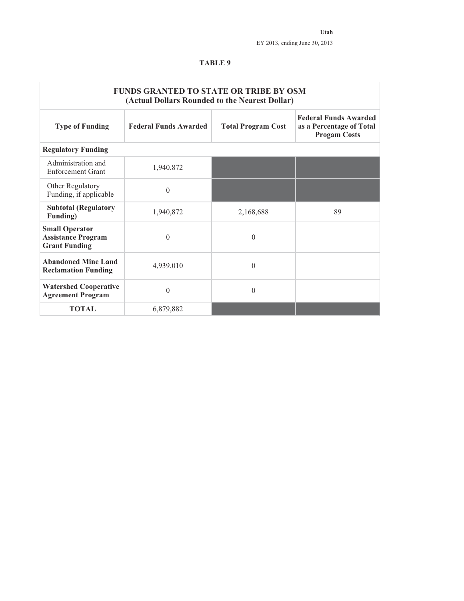|                                                                            | <b>FUNDS GRANTED TO STATE OR TRIBE BY OSM</b><br>(Actual Dollars Rounded to the Nearest Dollar) |                           |                                                                                 |
|----------------------------------------------------------------------------|-------------------------------------------------------------------------------------------------|---------------------------|---------------------------------------------------------------------------------|
| <b>Type of Funding</b>                                                     | <b>Federal Funds Awarded</b>                                                                    | <b>Total Program Cost</b> | <b>Federal Funds Awarded</b><br>as a Percentage of Total<br><b>Progam Costs</b> |
| <b>Regulatory Funding</b>                                                  |                                                                                                 |                           |                                                                                 |
| Administration and<br><b>Enforcement Grant</b>                             | 1,940,872                                                                                       |                           |                                                                                 |
| Other Regulatory<br>Funding, if applicable                                 | $\mathbf{0}$                                                                                    |                           |                                                                                 |
| <b>Subtotal (Regulatory</b><br><b>Funding</b> )                            | 1,940,872                                                                                       | 2,168,688                 | 89                                                                              |
| <b>Small Operator</b><br><b>Assistance Program</b><br><b>Grant Funding</b> | $\mathbf{0}$                                                                                    | $\theta$                  |                                                                                 |
| <b>Abandoned Mine Land</b><br><b>Reclamation Funding</b>                   | 4,939,010                                                                                       | $\theta$                  |                                                                                 |
| <b>Watershed Cooperative</b><br><b>Agreement Program</b>                   | $\theta$                                                                                        | $\Omega$                  |                                                                                 |
| <b>TOTAL</b>                                                               | 6,879,882                                                                                       |                           |                                                                                 |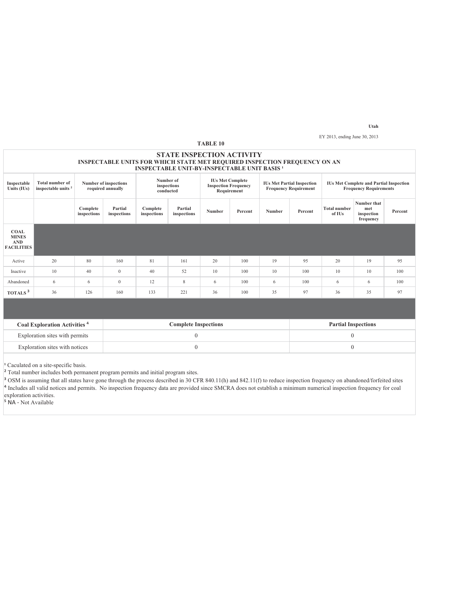**Utah**

EY 2013, ending June 30, 2013

|                                                                |                                                          |                         |                                                                                                                                                                                                                                   |                                                     |                                  | <b>TABLE 10</b> |         |               |                                                                                 |                               |                                               |         |
|----------------------------------------------------------------|----------------------------------------------------------|-------------------------|-----------------------------------------------------------------------------------------------------------------------------------------------------------------------------------------------------------------------------------|-----------------------------------------------------|----------------------------------|-----------------|---------|---------------|---------------------------------------------------------------------------------|-------------------------------|-----------------------------------------------|---------|
|                                                                |                                                          |                         | <b>INSPECTABLE UNITS FOR WHICH STATE MET REQUIRED INSPECTION FREQUENCY ON AN</b>                                                                                                                                                  | <b>INSPECTABLE UNIT-BY-INSPECTABLE UNIT BASIS 1</b> | <b>STATE INSPECTION ACTIVITY</b> |                 |         |               |                                                                                 |                               |                                               |         |
| Inspectable<br>Units (IUs)                                     | <b>Total number of</b><br>inspectable units <sup>2</sup> |                         | Number of<br><b>IUs Met Complete</b><br>Number of inspections<br><b>IUs Met Partial Inspection</b><br>inspections<br><b>Inspection Frequency</b><br><b>Frequency Requirement</b><br>required annually<br>conducted<br>Requirement |                                                     |                                  |                 |         |               | <b>IUs Met Complete and Partial Inspection</b><br><b>Frequency Requirements</b> |                               |                                               |         |
|                                                                |                                                          | Complete<br>inspections | Partial<br>inspections                                                                                                                                                                                                            | Complete<br>inspections                             | Partial<br>inspections           | Number          | Percent | <b>Number</b> | Percent                                                                         | <b>Total number</b><br>of IUs | Number that<br>met<br>inspection<br>frequency | Percent |
| <b>COAL</b><br><b>MINES</b><br><b>AND</b><br><b>FACILITIES</b> |                                                          |                         |                                                                                                                                                                                                                                   |                                                     |                                  |                 |         |               |                                                                                 |                               |                                               |         |
| Active                                                         | 20                                                       | 80                      | 160                                                                                                                                                                                                                               | 81                                                  | 161                              | 20              | 100     | 19            | 95                                                                              | 20                            | 19                                            | 95      |
| Inactive                                                       | 10                                                       | 40                      | $\mathbf{0}$                                                                                                                                                                                                                      | 40                                                  | 52                               | 10              | 100     | 10            | 100                                                                             | 10                            | 10                                            | 100     |
| Abandoned                                                      | 6                                                        | 6                       | $\mathbf{0}$                                                                                                                                                                                                                      | 12                                                  | 8                                | 6               | 100     | 6             | 100                                                                             | 6                             | 6                                             | 100     |
| TOTALS <sup>3</sup>                                            | 36                                                       | 126                     | 160                                                                                                                                                                                                                               | 133                                                 | 221                              | 36              | 100     | 35            | 97                                                                              | 36                            | 35                                            | 97      |
|                                                                |                                                          |                         |                                                                                                                                                                                                                                   |                                                     |                                  |                 |         |               |                                                                                 |                               |                                               |         |
|                                                                | Coal Exploration Activities <sup>4</sup>                 |                         |                                                                                                                                                                                                                                   |                                                     | <b>Complete Inspections</b>      |                 |         |               |                                                                                 | <b>Partial Inspections</b>    |                                               |         |
|                                                                | Exploration sites with permits                           |                         |                                                                                                                                                                                                                                   |                                                     | $\mathbf{0}$                     |                 |         |               |                                                                                 | $\mathbf{0}$                  |                                               |         |

<sup>1</sup> Caculated on a site-specific basis.

<sup>2</sup> Total number includes both permanent program permits and initial program sites.

<sup>3</sup> OSM is assuming that all states have gone through the process described in 30 CFR 840.11(h) and 842.11(f) to reduce inspection frequency on abandoned/forfeited sites Includes all valid notices and permits. No inspection frequency data are provided since SMCRA does not establish a minimum numerical inspection frequency for coal exploration activities.

Exploration sites with notices  $0$ 

 $\overrightarrow{NA}$  - Not Available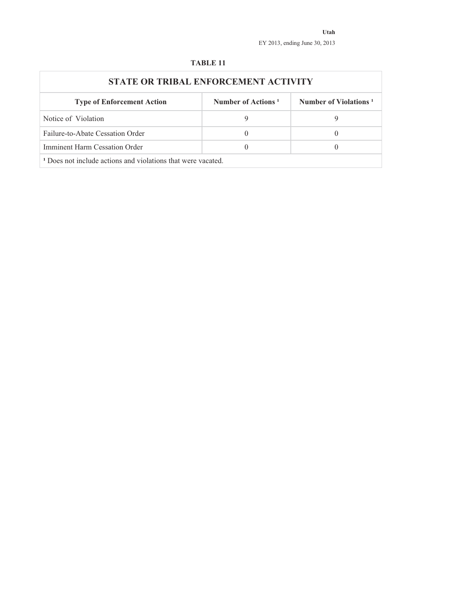| STATE OR TRIBAL ENFORCEMENT ACTIVITY                                    |                                |                                   |
|-------------------------------------------------------------------------|--------------------------------|-----------------------------------|
| <b>Type of Enforcement Action</b>                                       | Number of Actions <sup>1</sup> | Number of Violations <sup>1</sup> |
| Notice of Violation                                                     | 9                              | 9                                 |
| Failure-to-Abate Cessation Order                                        | $\theta$                       |                                   |
| Imminent Harm Cessation Order                                           | $\theta$                       |                                   |
| <sup>1</sup> Does not include actions and violations that were vacated. |                                |                                   |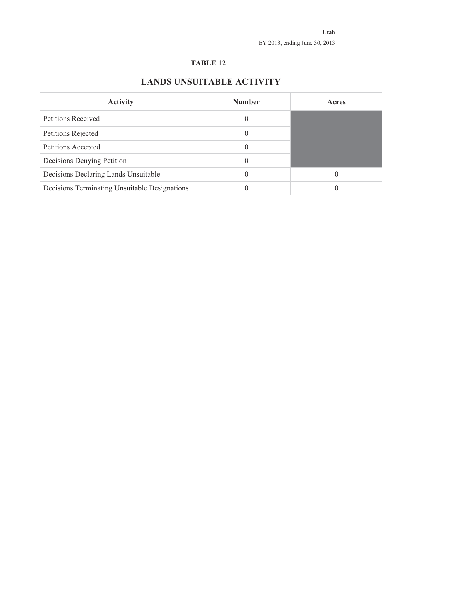|                                               | <b>LANDS UNSUITABLE ACTIVITY</b> |          |
|-----------------------------------------------|----------------------------------|----------|
| <b>Activity</b>                               | <b>Number</b>                    | Acres    |
| <b>Petitions Received</b>                     | 0                                |          |
| Petitions Rejected                            | 0                                |          |
| Petitions Accepted                            | 0                                |          |
| Decisions Denying Petition                    | 0                                |          |
| Decisions Declaring Lands Unsuitable          | 0                                | $\theta$ |
| Decisions Terminating Unsuitable Designations |                                  |          |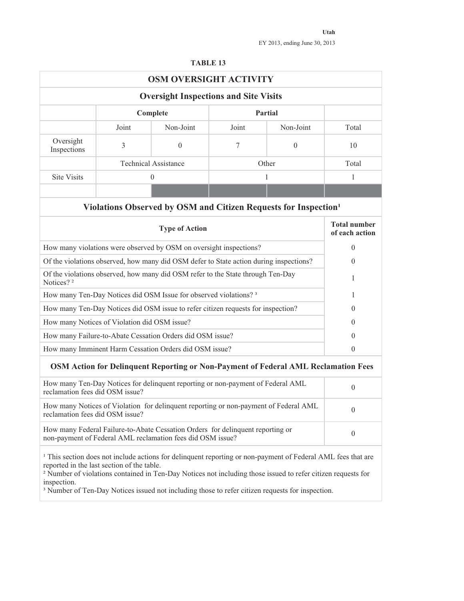|--|--|

|                                 |                                              | <b>OSM OVERSIGHT ACTIVITY</b>                                                                                                                |        |                                                                                                                                                                                                                                                                                                                                                                   |                                       |
|---------------------------------|----------------------------------------------|----------------------------------------------------------------------------------------------------------------------------------------------|--------|-------------------------------------------------------------------------------------------------------------------------------------------------------------------------------------------------------------------------------------------------------------------------------------------------------------------------------------------------------------------|---------------------------------------|
|                                 |                                              | <b>Oversight Inspections and Site Visits</b>                                                                                                 |        |                                                                                                                                                                                                                                                                                                                                                                   |                                       |
|                                 |                                              | Complete                                                                                                                                     |        | Partial                                                                                                                                                                                                                                                                                                                                                           |                                       |
|                                 | Joint                                        | Non-Joint                                                                                                                                    | Joint  | Non-Joint                                                                                                                                                                                                                                                                                                                                                         | Total                                 |
| Oversight<br>Inspections        | $\mathfrak{Z}$                               | $\boldsymbol{0}$                                                                                                                             | $\tau$ | $\boldsymbol{0}$                                                                                                                                                                                                                                                                                                                                                  | 10                                    |
|                                 |                                              | <b>Technical Assistance</b>                                                                                                                  |        | Other                                                                                                                                                                                                                                                                                                                                                             | Total                                 |
| <b>Site Visits</b>              |                                              | $\mathbf{0}$                                                                                                                                 |        | 1                                                                                                                                                                                                                                                                                                                                                                 | 1                                     |
|                                 |                                              |                                                                                                                                              |        |                                                                                                                                                                                                                                                                                                                                                                   |                                       |
|                                 |                                              |                                                                                                                                              |        | Violations Observed by OSM and Citizen Requests for Inspection <sup>1</sup>                                                                                                                                                                                                                                                                                       |                                       |
|                                 |                                              | <b>Type of Action</b>                                                                                                                        |        |                                                                                                                                                                                                                                                                                                                                                                   | <b>Total number</b><br>of each action |
|                                 |                                              | How many violations were observed by OSM on oversight inspections?                                                                           |        |                                                                                                                                                                                                                                                                                                                                                                   | $\theta$                              |
|                                 |                                              | Of the violations observed, how many did OSM defer to State action during inspections?                                                       |        |                                                                                                                                                                                                                                                                                                                                                                   | $\theta$                              |
| Notices? <sup>2</sup>           |                                              | Of the violations observed, how many did OSM refer to the State through Ten-Day                                                              |        |                                                                                                                                                                                                                                                                                                                                                                   | 1                                     |
|                                 |                                              | How many Ten-Day Notices did OSM Issue for observed violations? <sup>3</sup>                                                                 |        |                                                                                                                                                                                                                                                                                                                                                                   | 1                                     |
|                                 |                                              | How many Ten-Day Notices did OSM issue to refer citizen requests for inspection?                                                             |        |                                                                                                                                                                                                                                                                                                                                                                   | $\theta$                              |
|                                 | How many Notices of Violation did OSM issue? |                                                                                                                                              |        |                                                                                                                                                                                                                                                                                                                                                                   | $\theta$                              |
|                                 |                                              | How many Failure-to-Abate Cessation Orders did OSM issue?                                                                                    |        |                                                                                                                                                                                                                                                                                                                                                                   | $\theta$                              |
|                                 |                                              | How many Imminent Harm Cessation Orders did OSM issue?                                                                                       |        |                                                                                                                                                                                                                                                                                                                                                                   | $\theta$                              |
|                                 |                                              |                                                                                                                                              |        | OSM Action for Delinquent Reporting or Non-Payment of Federal AML Reclamation Fees                                                                                                                                                                                                                                                                                |                                       |
| reclamation fees did OSM issue? |                                              | How many Ten-Day Notices for delinquent reporting or non-payment of Federal AML                                                              |        |                                                                                                                                                                                                                                                                                                                                                                   | $\boldsymbol{0}$                      |
| reclamation fees did OSM issue? |                                              | How many Notices of Violation for delinquent reporting or non-payment of Federal AML                                                         |        |                                                                                                                                                                                                                                                                                                                                                                   | 0                                     |
|                                 |                                              | How many Federal Failure-to-Abate Cessation Orders for delinquent reporting or<br>non-payment of Federal AML reclamation fees did OSM issue? |        |                                                                                                                                                                                                                                                                                                                                                                   | $\boldsymbol{0}$                      |
| inspection.                     | reported in the last section of the table.   |                                                                                                                                              |        | <sup>1</sup> This section does not include actions for delinquent reporting or non-payment of Federal AML fees that are<br><sup>2</sup> Number of violations contained in Ten-Day Notices not including those issued to refer citizen requests for<br><sup>3</sup> Number of Ten-Day Notices issued not including those to refer citizen requests for inspection. |                                       |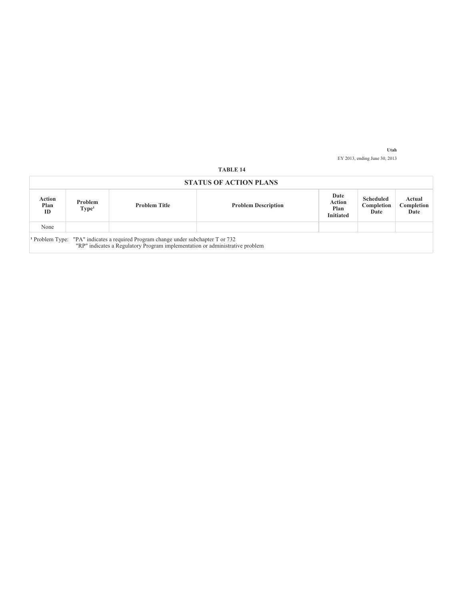|                      |                              |                                                                                                                                                                               | <b>STATUS OF ACTION PLANS</b> |                                            |                                        |                              |
|----------------------|------------------------------|-------------------------------------------------------------------------------------------------------------------------------------------------------------------------------|-------------------------------|--------------------------------------------|----------------------------------------|------------------------------|
| Action<br>Plan<br>ID | Problem<br>Type <sup>1</sup> | <b>Problem Title</b>                                                                                                                                                          | <b>Problem Description</b>    | Date<br>Action<br>Plan<br><b>Initiated</b> | <b>Scheduled</b><br>Completion<br>Date | Actual<br>Completion<br>Date |
| None                 |                              |                                                                                                                                                                               |                               |                                            |                                        |                              |
|                      |                              | <sup>1</sup> Problem Type: "PA" indicates a required Program change under subchapter T or 732<br>"RP" indicates a Regulatory Program implementation or administrative problem |                               |                                            |                                        |                              |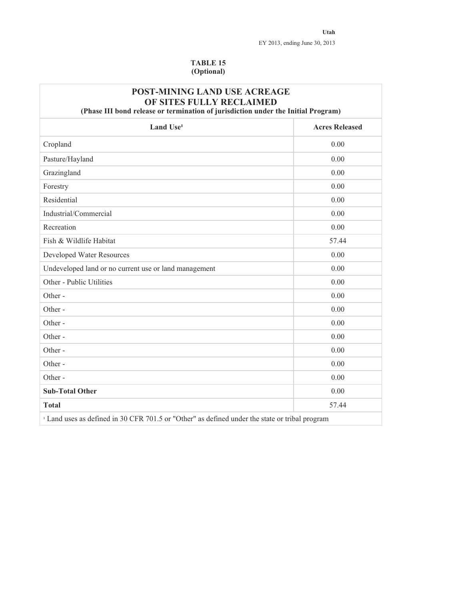#### **TABLE 15 (Optional)**

| <b>POST-MINING LAND USE ACREAGE</b><br>OF SITES FULLY RECLAIMED<br>(Phase III bond release or termination of jurisdiction under the Initial Program) |                       |
|------------------------------------------------------------------------------------------------------------------------------------------------------|-----------------------|
| Land Use <sup>1</sup>                                                                                                                                | <b>Acres Released</b> |
| Cropland                                                                                                                                             | 0.00                  |
| Pasture/Hayland                                                                                                                                      | 0.00                  |
| Grazingland                                                                                                                                          | 0.00                  |
| Forestry                                                                                                                                             | 0.00                  |
| Residential                                                                                                                                          | 0.00                  |
| Industrial/Commercial                                                                                                                                | 0.00                  |
| Recreation                                                                                                                                           | 0.00                  |
| Fish & Wildlife Habitat                                                                                                                              | 57.44                 |
| Developed Water Resources                                                                                                                            | 0.00                  |
| Undeveloped land or no current use or land management                                                                                                | 0.00                  |
| Other - Public Utilities                                                                                                                             | 0.00                  |
| Other-                                                                                                                                               | 0.00                  |
| Other-                                                                                                                                               | 0.00                  |
| Other-                                                                                                                                               | 0.00                  |
| Other-                                                                                                                                               | 0.00                  |
| Other-                                                                                                                                               | 0.00                  |
| Other-                                                                                                                                               | 0.00                  |
| Other-                                                                                                                                               | 0.00                  |
| <b>Sub-Total Other</b>                                                                                                                               | 0.00                  |
| <b>Total</b>                                                                                                                                         | 57.44                 |
| <sup>1</sup> Land uses as defined in 30 CFR 701.5 or "Other" as defined under the state or tribal program                                            |                       |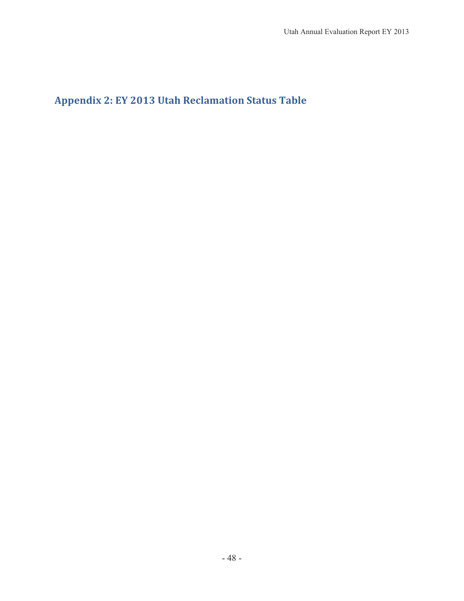$\bf{Appendix~2: EY~2013~Utah~Reclamation~Status~Table}$